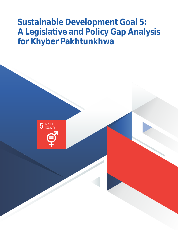**Sustainable Development Goal 5: A Legislative and Policy Gap Analysis for Khyber Pakhtunkhwa**

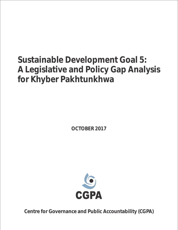# **Sustainable Development Goal 5: A Legislative and Policy Gap Analysis for Khyber Pakhtunkhwa**

**OCTOBER 2017**



**Centre for Governance and Public Accountability (CGPA)**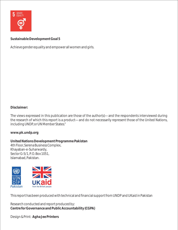

**Sustainable Development Goal 5**

Achieve gender equality and empower all women and girls.

**Disclaimer:**

The views expressed in this publication are those of the author(s)—and the respondents interviewed during the research of which this report is a product—and do not necessarily represent those of the United Nations, including UNDP, or UN Member States."

**www.pk.undp.org**

**United Nations Development Programme Pakistan**  4th Floor, Serena Business Complex, Khayaban-e-Suharwardy, Sector G-5/1, P.O. Box 1051, Islamabad, Pakistan.



This report has been produced with technical and financial support from UNDP and UKaid in Pakistan

Research conducted and report produced by: **Centre for Governance and Public Accountability (CGPA)**

Design & Print: **Agha Jee Printers**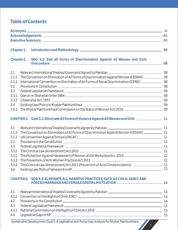# **Table of Contents**

|                                                                                | Chapter 1. |                                                                                                                                                                                                                                                                                                                                                                                                                                                                                                                                               |  |
|--------------------------------------------------------------------------------|------------|-----------------------------------------------------------------------------------------------------------------------------------------------------------------------------------------------------------------------------------------------------------------------------------------------------------------------------------------------------------------------------------------------------------------------------------------------------------------------------------------------------------------------------------------------|--|
|                                                                                | Chapter 2. | SDG 5.1: End all Forms of Discrimination Against all Women and Girls<br>Everywhere 2008                                                                                                                                                                                                                                                                                                                                                                                                                                                       |  |
| 2.1<br>2.1.1<br>2.1.2<br>2.2<br>2.3<br>2.3.1<br>2.3.2<br>$2.4\,$<br>2.4.1      |            | The Convention on Elimination of All Forms of Discrimination Against Women (CEDAW) _____________ 08<br>International Convention on Elimination of All Forms of Racial Discrimination (ICERD) ______________ 08<br>The Khyber Pakhtunkhwa Commission on the Status of Women Act, 2016 [1984] [2010] 09                                                                                                                                                                                                                                         |  |
|                                                                                |            | CHAPTER 3. Goal 5.2: Eliminate All Forms of Violence Against All Women and Girls _________________ 11                                                                                                                                                                                                                                                                                                                                                                                                                                         |  |
| 3.1<br>3.1.1<br>3.1.2<br>3.2<br>3.3<br>3.3.1<br>3.3.2<br>3.3.3<br>3.3.4<br>3.4 |            | The Convention on Elimination of All Forms of Discrimination Against Women (CEDAW) _____________ 11<br>The Criminal Law (Amendment) Act 2010 <b>Construction Construction</b> 11<br>The Protection Against Harassment of Women at the Workplace Act, 2010<br>The Criminal Law (Amendment) Act 2011 (Prevention of Acid Crimes Incidents) ________________________ 12<br>CHAPTER 4. SDG 5.3: ELIMINATE ALL HARMFUL PRACTICES, SUCH AS CHILD, EARLY AND<br>FORCED MARRIAGE AND FEMALE GENITAL MUTILATION ___________________________________ 14 |  |
| 4.1<br>4.1.1<br>4.2<br>4.3<br>4.3.1<br>4.4                                     |            |                                                                                                                                                                                                                                                                                                                                                                                                                                                                                                                                               |  |

Sustainable Development Goal 5: A Legislative and Policy Gap Analysis for Khyber Pakhtunkhwa

i

**START START START START START**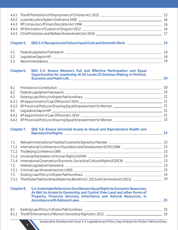| 4.4.1      |                                                                                                                                                                                                                            |    |
|------------|----------------------------------------------------------------------------------------------------------------------------------------------------------------------------------------------------------------------------|----|
| 4.4.2      |                                                                                                                                                                                                                            |    |
| 4.4.3      |                                                                                                                                                                                                                            |    |
| 4.4.4      |                                                                                                                                                                                                                            |    |
| 4.4.5      |                                                                                                                                                                                                                            |    |
| Chapter 5. | SDG 5.4: Recognize and Value Unpaid Care and Domestic Work ______________________ 19                                                                                                                                       |    |
| 5.1        |                                                                                                                                                                                                                            |    |
| 5.2        |                                                                                                                                                                                                                            |    |
| 5.3        |                                                                                                                                                                                                                            |    |
| Chapter 6. | SDG 5.5: Ensure Women's Full and Effective Participation and Equal<br>Opportunities for Leadership At All Levels Of Decision-Making in Political,                                                                          | 20 |
| 6.1        |                                                                                                                                                                                                                            |    |
| 6.2        |                                                                                                                                                                                                                            |    |
| 6.3        |                                                                                                                                                                                                                            |    |
| 6.3.1      |                                                                                                                                                                                                                            |    |
| 6.3.2      |                                                                                                                                                                                                                            |    |
| 6.4        |                                                                                                                                                                                                                            |    |
| 6.4.1      |                                                                                                                                                                                                                            |    |
| 6.4.2      |                                                                                                                                                                                                                            |    |
| Chapter 7. | SDG 5.6: Ensure Universal Access to Sexual and Reproductive Health and                                                                                                                                                     | 23 |
|            |                                                                                                                                                                                                                            |    |
| 7.1.1      |                                                                                                                                                                                                                            |    |
| 7.1.2      |                                                                                                                                                                                                                            |    |
| 7.1.3      | Universal Declaration of Human Rights (UDHR) 23                                                                                                                                                                            |    |
| 7.1.4      |                                                                                                                                                                                                                            |    |
| 7.2        | Federal Legislative Framework 23                                                                                                                                                                                           |    |
| 7.2.1      |                                                                                                                                                                                                                            |    |
| 7.3        |                                                                                                                                                                                                                            |    |
| 7.3.1      | The Khyber Pakhtunkhwa Maternity Benefit Act, 2013 with (Amendment 2015) ___________________________ 24                                                                                                                    |    |
| Chapter 8. | 5.a: Undertake Reforms to Give Women Equal Rights to Economic Resources,<br>As Well As Access to Ownership and Control Over Land and other Forms of<br>Property, Financial Services, Inheritance and Natural Resources, in |    |
|            |                                                                                                                                                                                                                            |    |
| 8.1        |                                                                                                                                                                                                                            |    |
| 8.1.1      |                                                                                                                                                                                                                            |    |
|            | Sustainable Development Goal 5: A Legislative and Policy Gap Analysis for Khyber Pakhtunkhwa                                                                                                                               |    |

ii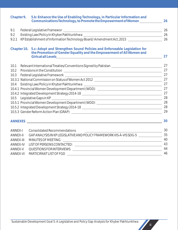| Chapter 9.       | 5.b: Enhance the Use of Enabling Technology, in Particular Information and<br>Communications Technology, to Promote the Empowerment of Women                  | 26 |
|------------------|---------------------------------------------------------------------------------------------------------------------------------------------------------------|----|
| 9.1              |                                                                                                                                                               | 26 |
| 9.2              |                                                                                                                                                               | 26 |
| 9.2.1            | KPEstablishment of Information Technology Board/Amendment Act, 2015 [1984] 2015 [1984] 26                                                                     |    |
|                  | Chapter 10. 5.c: Adopt and Strengthen Sound Policies and Enforceable Legislation for<br>the Promotion of Gender Equality and the Empowerment of All Women and | 27 |
| 10.1             | Relevant International Treaties/Conventions Signed by Pakistan __________________                                                                             | 27 |
| 10.2             |                                                                                                                                                               | 27 |
| 10.3             |                                                                                                                                                               | 27 |
|                  | 10.3.1 National Commission on Status of Women Act 2012 \\equirement control number of 10.3.1 National Commission on Status of Women Act 2012                  | 27 |
| 10.4             |                                                                                                                                                               | 27 |
|                  | 10.4.1 Provincial Women Development Department (WDD) ___________________________                                                                              | 27 |
|                  | 10.4.2 Integrated Development Strategy 2014-18 _________________________________                                                                              | 27 |
| 10.5             |                                                                                                                                                               | 28 |
|                  | 10.5.1 Provincial Women Development Department (WDD) [Content Content of Provincial Women Development Content                                                 | 28 |
|                  | 10.5.2 Integrated Development Strategy 2014-18 _________________________________                                                                              | 28 |
|                  |                                                                                                                                                               | 29 |
|                  | ANNEXES<br><u> 1989 - Johann Stoff, amerikansk politiker (d. 1989)</u>                                                                                        | 30 |
| ANNEX-I          | <b>Consolidated Recommendations</b>                                                                                                                           | 30 |
| <b>ANNEX-II</b>  | GAP ANALYSIS IN KP LEGISLATIVE AND POLICY FRAMEWORK VIS-À-VIS SDG-5                                                                                           | 35 |
| <b>ANNEX-III</b> | MINUTES OF MEETING<br><u> 1989 - Johann Harry Harry Harry Harry Harry Harry Harry Harry Harry Harry Harry Harry Harry Harry Harry Harry</u>                   | 40 |
| <b>ANNEX-IV</b>  |                                                                                                                                                               | 43 |
| <b>ANNEX-V</b>   |                                                                                                                                                               | 44 |
| <b>ANNEX-VI</b>  | PARTICIPANT LIST OF FGD<br><u> 1989 - Johann Stoff, deutscher Stoff, der Stoff, der Stoff, der Stoff, der Stoff, der Stoff, der Stoff, der S</u>              | 46 |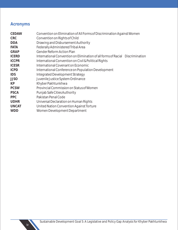# **Acronyms**

| <b>CEDAW</b> | Convention on Elimination of All Forms of Discrimination Against Women        |
|--------------|-------------------------------------------------------------------------------|
| <b>CRC</b>   | Convention on Rights of Child                                                 |
| <b>DDA</b>   | Drawing and Disbursement Authority                                            |
| <b>FATA</b>  | Federally Administered Tribal Area                                            |
| <b>GRAP</b>  | <b>Gender Reform Action Plan</b>                                              |
| <b>ICERD</b> | International Convention on Elimination of all forms of Racial Discrimination |
| <b>ICCPR</b> | International Convention on Civil & Political Rights                          |
| <b>ICESR</b> | International Covenant on Economic                                            |
| <b>ICPD</b>  | International Conference on Population Development                            |
| <b>IDS</b>   | <b>Integrated Development Strategy</b>                                        |
| <b>JJSO</b>  | Juvenile Justice System Ordinance                                             |
| <b>KP</b>    | Khyber Pakhtunkhwa                                                            |
| <b>PCSW</b>  | Provincial Commission on Status of Women                                      |
| <b>PSCA</b>  | Punjab Safe Cities Authority                                                  |
| <b>PPC</b>   | Pakistan Penal Code                                                           |
| <b>UDHR</b>  | Universal Declaration on Human Rights                                         |
| <b>UNCAT</b> | United Nation Convention Against Torture                                      |
| <b>WDD</b>   | Women Development Department                                                  |
|              |                                                                               |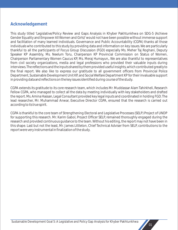# **Acknowledgement**

This study titled 'Legislative/Policy Review and Gaps Analysis in Khyber Pakhtunkhwa on SDG-5 (Achieve Gender Equality and Empower All Women and Girls)' would not have been possible without immense support and facilitation of many learned individuals. Governance and Public Accountability (CGPA) thanks all those individuals who contributed to this study by providing data and information on key issues. We are particularly thankful to all the participants of Focus Group Discussion (FGD) especially Ms. Meher Taj Roghani, Deputy Speaker KP Assembly, Ms. Neelum Toru, Chairperson KP Provincial Commission on Status of Women, Chairperson Parliamentary Women Caucus KP, Ms. Meraj Humayun,. We are also thankful to representatives from civil society organizations, media and legal professions who provided their valuable inputs during interviews. The reflections and the inputs shared by them provided useful insights, which contributed greatly to the final report. We also like to express our gratitude to all government officers from Provincial Police Department, Sustainable Development Unit KP, and Social Welfare Department KP for their invaluable support in providing data and reflections on the key issues identified during course of the study.

CGPA extends its gratitude to its core research team, which includes Mr. Muddassar Alam Tahirkheli, Research Fellow CGPA, who managed to collect all the data by meeting individually with key stakeholders and drafted the report. Ms. Amina Hassan, Legal Consultant provided key legal inputs and coordinated in holding FGD. The lead researcher, Mr. Muhammad Anwar, Executive Director CGPA, ensured that the research is carried out according to its true spirit.

CGPA is thankful to the core team of Strengthening Electoral and Legislative Processes (SELP) Project of UNDP for supporting this research. Mr. Karim Gabol, Project Officer SELP, remained thoroughly engaged during the research and provided continuous guidance to the team. Without his editing, the report may not have been in this shape. Last but not the least, Mr. James Littleton, Chief Technical Adviser from SELP, contributions to the report were very instrumental in finalization of the study.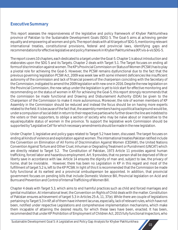# **Executive Summary**

This report assesses the responsiveness of the legislative and policy framework of Khyber Pakhtunkhwa province of Pakistan to the Sustainable Development Goals (SDG) 5. The Goal-5 aims at achieving gender equality and empowering all women and girls. The report deals with all 6 targets of SDG-5, mentioning relevant international treaties, constitutional provisions, federal and provincial laws, identifying gaps and recommendations for effective legislative and policy framework in Khyber Pakhtunkhwa (KP) vis-à-vis SDG-5.

The report covers 10 chapters, each dedicated to a target under the Goal-5. Chapter 1 is about introduction and elaborates upon the SDG 5 and its Targets. Chapter 2 deals with Target 5.1. The Target focuses on ending all forms of discrimination against women. The KP's Provincial Commission on Status of Women (PCSW) has to play a pivotal role for achieving the Goal-5. However, the PCSW remains dysfunctional due to the fact that the previous governing legislation PCSW Act, 2009 was week law with some inherent deficiencies like insufficient autonomy of the commission and lack of financial powers of the chairperson coinciding with the Secretary of the Commission, instigated to amend the 2009 legislation with new one in 2016. Despite the new legislation on the Provincial Commission, the new setup under the legislation is yet to kick start for effective monitoring and recommending on the status of women in KP. For achieving the Goal-5, this report strongly recommends that the commission be made functional and Drawing and Disbursement Authority (DDA) be given to the Chairperson of the Commission to make it more autonomous. Moreover, the role of women members of KP Assembly in the Commission should be reduced and instead the focus should be on having more experts related to the field. It is because of the fact that, the assembly members having a political background would be, under a compulsion of social debt in return to their respective parties who further down the line are indebted to the voters or their supporters, to oblige a section of society who may be naïve about or insensitive to the equal/equitable status of women in the province. To support the legislative work Commission should be supported by "Legislative Cell' for which necessary amendments should be made in the new legislation.

Under Chapter 3, legislative and policy gaps related to Target 5.2 have been, discussed. The target focuses on ending all kinds of violence and exploitation against women. The international treaties Pakistan ratified include the Convention on Elimination of All Forms of Discrimination Against Women (CEDAW), the United Nations Convention Against Torture and Other Cruel, Inhuman or Degrading Treatment or Punishment (UNCAT) which are directly related to Target 5.2. The Constitution of Pakistan, 1973 Article 11 provides against human trafficking, forced labor and hazardous employment. Art. 9 provides, that no person shall be deprived of life or liberty save in accordance with law. Article 14 ensures the dignity of man and, subject to law, the privacy of home, shall be inviolable. However, there has been no Legislation in KP in this regard and most of the fulfillment of target 5.2 is, left to the KP PCSW. In light of this it is recommended that the Commission be made fully functional at its earliest and a provincial ombudsperson be appointed. In addition, that provincial government focuses on pending bills that include Domestic Violence Bill, Provincial legislation on Acid and Burns and Prevention and Control of Internal Trafficking of Women Bill.

Chapter 4 deals with Target 5.3, which aims to end harmful practices such as child and forced marriages and genital mutilation. At international level, the Convention on Rights of Child deals with the matter. Constitution of Pakistan ensures achievement of target 5.3 in Articles 25-A, 11, 37(e). While there are couple of legislations pertaining to Target 5.3 in KP, all of them have inherent lacunas, especially, lack of relevant rules, which have not been, notified under respective Legislations and comprehensive implementation mechanisms, which make them incapable of attaining the desired results, for which these laws have been, enacted. It has been, recommended that under KP Prohibition of Employment of Children Act, 2015 fully functional Inspectors, who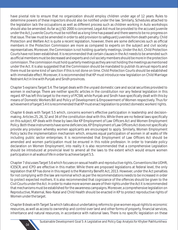have pivotal role to ensure that no organization should employ children under age of 12 years. Rules to determine powers of these inspectors should also be notified under the law. Similarly, Schedules attached to the legislation lack the occupations as well as different process such as children working in Auto workshops should also be amended. As far as JJSO 2000 is concerned, Legal Aid must be provided to the accused juvenile under the Act, Juvenile Courts must be notified as a long time has passed and there seems to be no progress on that issue. The law must be amended in order to add provision to safeguard Juveniles from death penalty. Child Protection and Welfare Act is quite a recent legislation, however, there are some deficiencies such as official members in the Protection Commission are more as compared to experts on the subject and civil society representatives. Moreover, the Commission is not holding quarterly meetings. Under the Act, Child Protection Courts have not been established. It is recommended that certain clauses in the Act needs to be amended such as official members must be decreased and experts and civil society members should be more in the protection commission. The commission must hold quarterly meetings as they are not holding the meetings as mentioned under the Act. It is also suggested that the Commission should be mandated to publish its annual reports and there must be some kind of sanction if this is not done on time. Child Protection Courts should be established with immediate effect. Moreover, it is recommended that KP must introduce new legislation on Child Marriage Restraint Act in line with Punjab and Sindh provinces.

Chapter 5 explains Target 5.4. The target deals with the unpaid domestic care and social securities provided to women in exchange. There are neither specific articles in the constitution nor any federal legislation in this regard. KP has left this target to the mercy of PCSW, while Punjab and Sindh have specifically dealt with this by means of Domestic Workers Bill and Policy of Development & Empowerment of Women respectively. Thus for achievement of target 5.4 it is recommended that KP must enact legislation to protect domestic workers' rights.

Chapter 6 deals with Target 5.5 which, concerns women's effective participation in leadership and decisionmaking. Articles 25, 26, 32 and 34 of the constitution deal with this. While there are no federal laws specifically on this subject, KP deals with these by laws like KP Employment of Law Officers Act and Women Employment Policy. Both these instruments have some deficiencies. KP Employment of Law Officers Act does not specifically provide any provision whereby women applicants are encouraged to apply. Similarly, Women Employment Policy lacks the implementation mechanism which, ensures equal participation of women in all walks of life including public sector enterprises. It is recommended that Employment of Law Officers Act should be amended and women participation must be ensured in this noble profession. In order to translate policy declaration on Women Employment, into reality it is also recommended that a comprehensive Legislation should be introduced at provincial level to amend all the laws to the extent which would ensure women participation in all walks of life in order to achieve target 5.5.

Chapter 7 discusses Target 5.6 which focuses on sexual health and reproductive rights. Conventions like UDHR, ICESCR, and ICPD are effective in this matter. While there are proposed legislations at federal level, the only legislation that KP has done in this regard is the Maternity Benefit Act, 2013. However, under the Act penalties for not complying with the law are nominal which as per the recommendations needs to be increased in order to protect expected mothers. It is also recommended that cognizance of the offences should be given to the Civil Courts under the Act. In order to make more women aware of their rights under the Act it is recommended that mechanisms must be established for the awareness campaigns. Moreover, a comprehensive legislation on Reproductive, Maternal, Neo-Natal and Child Health should be enacted in KP to protect reproductive rights of Women under the target.

Chapter 8 deals with Target 5a which talks about undertaking reforms to give women equal rights to economic resources, as well as access to ownership and control over land and other forms of property, financial services, inheritance and natural resources, in accordance with national laws. There is no specific legislation on these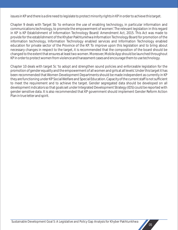issues in KP and there is a dire need to legislate to protect minority rights in KP in order to achieve this target.

Chapter 9 deals with Target 5b 'to enhance the use of enabling technology, in particular information and communications technology, to promote the empowerment of women'. The relevant legislation in this regard in KP is KP Establishment of Information Technology Board/ Amendment Act, 2015. This Act was made to provide for the establishment of the Khyber Pakhtunkhwa Information Technology Board for promotion of the information technology, Information Technology enabled services and Information Technology enabled education for private sector of the Province of the KP. To improve upon this legislation and to bring about necessary changes in respect to the target, it is recommended that the composition of the board should be changed to the extent that ensures at least two women. Moreover, Mobile App should be launched throughout KP in order to protect women from violence and harassment cases and encourage them to use technology.

Chapter 10 deals with target 5c 'to adopt and strengthen sound policies and enforceable legislation for the promotion of gender equality and the empowerment of all women and girls at all levels'. Under this target it has been recommended that Women Development Departments should be made independent as currently in KP they are functioning under KP Social Welfare and Special Education. Capacity of the current staff is not sufficient to meet the requirement and to achieve the target. Gender segregated data should be developed on all development indicators so that goals set under Integrated Development Strategy (IDS) could be reported with gender sensitive data. It is also recommended that KP government should implement Gender Reform Action Plan in true letter and spirit.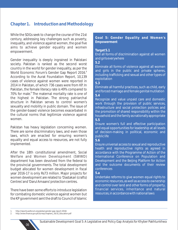# **Chapter 1. Introduction and Methodology**

While the SDGs seek to change the course of the 21st century, addressing key challenges such as poverty, inequality, and violence against women, the goal five aims to achieve gender equality and women empowerment.

Gender inequality is deeply ingrained in Pakistani society. Pakistan is ranked as the second worst country in the world for gender inequality, as per the **<sup>1</sup>** World Economic Forum's Gender Gap Report 2016. According to the Aurat Foundation Report, 10,139 cases of violence against women were reported in 2014 in Pakistan, of which 736 cases were from KP. In Pakistan, the female literacy rate is 49% compared to 70% for male.<sup>2</sup> The maternal mortality rate is one of the highest in Pakistan. The strong patriarchal structure in Pakistan serves to control women's sexuality and mobility in public domain. The issue of the gender-based violence becomes exacerbated in the cultural norms that legitimize violence against women.

Pakistan has heavy legislation concerning women. There are some discriminatory laws, and even those laws, which are enacted for ensuring women's equality and equal access to resources, are not fully implemented.

After the 18th constitutional amendment, Social Welfare and Women Development (SWWD) department has been devolved from the federal to the provincial governments. The total development budget allocated for women development in fiscal year 2016-17 is only Rs73 million. Major projects for women development are related to 'Dastakari (crafts) Centres' and 'Darul Amaans' protection centres.

There have been some efforts to introduce legislation for combating domestic violence against women but the KP government sent the draft to Council of Islamic **Goal 5: Gender Equality and Women's Empowerment**

#### **Target 5.1**

End all forms of discrimination against all women and girls everywhere

**5.2**

Eliminate all forms of violence against all women and girls in the public and private spheres, including trafficking and sexual and other types of exploitation

**5.3**

Eliminate all harmful practices, such as child, early and forced marriage and female genital mutilation **5.4**

Recognize and value unpaid care and domestic work through the provision of public services, infrastructure and social protection policies and the promotion of shared responsibility within the household and the family as nationally appropriate **5.5**

Ensure women's full and effective participation and equal opportunities for leadership at all levels of decision-making in political, economic and public life

**5.6**

Ensure universal access to sexual and reproductive health and reproductive rights as agreed in accordance with the Programme of Action of the International Conference on Population and Development and the Beijing Platform for Action and the outcome documents of their review conferences

#### **5.a**

Undertake reforms to give women equal rights to economic resources, as well as access to ownership and control over land and other forms of property, financial services, inheritance and natural resources, in accordance with national laws

<sup>1.</sup> http://reports.weforum.org/global-gender-gap-report-2016/

<sup>2.</sup> http://www.finance.gov.pk/survey/chapters\_16/10\_Education.pdf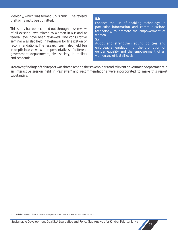Ideology, which was termed un-Islamic. The revised draft bill is yet to be submitted.

This study has been carried out through desk review of all existing laws related to women in K-P and at federal level have been reviewed. One consultative seminar was also held in Peshawar for finalization of recommendations. The research team also held ten in-depth interviews with representatives of different government departments, civil society, journalists and academia.

#### **5.b**

Enhance the use of enabling technology, in particular information and communications technology, to promote the empowerment of women

#### **5.c**

Adopt and strengthen sound policies and enforceable legislation for the promotion of gender equality and the empowerment of all women and girls at all levels

Moreover, findings of this report was shared among the stakeholders and relevant government departments in an interactive session held in Peshawar<sup>3</sup> and recommendations were incorporated to make this report substantive.

3. Stakeholder's Workshop on Legislative Gaps on SDG 4&5, held in PC Peshawar October 10, 2017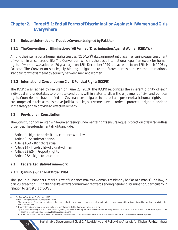# **Chapter 2. Target 5.1: End all Forms of Discrimination Against All Women and Girls Everywhere**

**2.1 Relevant International Treaties/Covenants signed by Pakistan**

### **2.1.1 The Convention on Elimination of All Forms of Discrimination Against Women (CEDAW)**

Among the international human rights treaties, (CEDAW)<sup>4</sup> takes an important place in ensuring equal treatment of women in all spheres of life. The Convention, which is the basic international legal framework for human rights of women, was adopted 20 years ago, on 18th December 1979 and acceded to on 12th March 1996 by Pakistan. The Convention sets legally binding obligations to the States parties and sets the international standard for what is meant by equality between men and women.

#### **2.1.2 International Convention on Civil & Political Rights (ICCPR)**

The ICCPR was ratified by Pakistan on June 23, 2010. The ICCPR recognizes the inherent dignity of each individual and undertakes to promote conditions within states to allow the enjoyment of civil and political rights. Countries that have ratified the Covenant are obligated to protect and preserve basic human rights, and are compelled to take administrative, judicial, and legislative measures in order to protect the rights enshrined in the treaty and to provide an effective remedy.

#### **2.2 Provisions in Constitution**

The Constitution of Pakistan while guaranteeing fundamental rights ensures equal protection of law regardless of gender. These fundamental rights include:

- $\bullet$  Article 4 Right to be dealt in accordance with law
- $\cdot$  Article 9 Security of person
- $\bullet$  Article 10-A Right to fair trial
- $\bullet$  Article 14 Inviolability of dignity of man
- Article  $23 & 24$  Property rights
- Article 25A Right to education

#### **2.3 Federal Legislative Framework**

**2.3.1 Qanun-e-Shahadat Order 1984**

The Qanun-e-Shahadat Order i.e. Law of Evidence makes a woman's testimony half as of a man's.<sup>5</sup> The law, in particular section 17, challenges Pakistan's commitment towards ending gender discrimination, particularly in relation to target 5.1 of SDG 5.

08

5. Article 17. Competence and number of witnesses.

<sup>4.</sup> Ratified by Pakistan on 6th February 1996

<sup>1)</sup> The competence of a person to testify, and the number of witnesses required in any case shall be determined in accordance with the injunctions of Islam as laid down in the Holy Quran and Sunnah.

<sup>2)</sup> Unless otherwise provided in any law relating to the enforcement of Hudood or any other special law,

a) in matters pertaining to financial or future obligations, if reduced to writing, the instrument shall be attested by two men, or one man and two women, so that one may remind the other, if necessary, and evidence shall be led accordingly; and

b) in all other matters, the Court may accept, or act on, the testimony of one man or one woman or such other evidence as the circumstances of the case may warrant.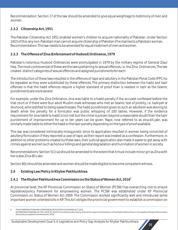Recommendation: Section 17 of the law should be amended to give equal weightage to testimony of men and women.

# **2.3.2 Citizenship Act, 1951**

The Pakistan Citizenship Act 1951 enabled women's children to acquire nationality of Pakistan. Under Section 10(2) of this, any non-Pakistani man cannot acquire citizenship of Pakistan if he marries to a Pakistani woman. Recommendation: This law needs to be amended for equal treatment of men and women.

# **2.3.3 The Offence of Zina (Enforcement of Hudood) Ordinance, 1979**

Pakistan's notorious Hudood Ordinances were promulgated in 1979 by the military regime of General Ziaul Haq. The most controversial of these are the laws pertaining to sexual offences, i.e. the Zina Ordinances. The law created distinct categories of sexual offences and assigned punishments for each:

The introduction of these laws resulted in the offences of rape and adultery in the Pakistan Penal Code (PPC) to be repealed as they were substituted by these offences. The primary distinction between the hadd and tazir offenses is that the hadd offences require a higher standard of proof than is needed in tazir as the Islamic punishments are more severe.

For example, under the Zina Ordinance, zina was liable to a hadd penalty if the accused confessed before the trial court or if there were four adult Muslim male witnesses who met an Islamic test of probity, i.e. tazkiyah al shuhood, who testified to being eyewitnesses. The hadd punishment given to such an adulterer was stoning to death while the penalty for a fornicator was public whipping of 100 lashes. However, if the evidence requirement for zina liable to hadd is not met but the crime is proven beyond a reasonable doubt then the tazir punishment of imprisonment for up to ten years can be given. Rape, now referred to as zina-bil-jabr, was similarly made liable to either the hadd or the tazir penalty depending on the type of proof available.

This law was considered intrinsically misogynistic since its application resulted in women being convicted of adultery/fornication if they reported a case of rape, as their report was treated as a confession. Furthermore, in addition to other problems created by these laws, their judicial application also made it easier to get away with crimes against women such as honour killings and general degradation and humiliation of women in society.

Recommendations: Section 5(1) (a) should be amended to the extent that it must include minor girl as Zina with her is also Zina-Bil-Jabr.

Section 8(b) should be amended and women should be made eligible to become competent witness.

- **2.4 Existing Law/Policy in Khyber Pakhtunkhwa**
- **6 2.4.1 The Khyber Pakhtunkhwa Commission on the Status of Women Act, 2016**

At provincial level, the KP Provincial Commission on Status of Women (PCSW) has overarching role to ensure legislative/policy framework for empowering women. The PCSW was established under KP Provincial Commission on Status of Women Act 2009. The Commission worked significantly well and introduced some important women oriented bills in KP. This Act obliges the provincial government to establish a commission on

<sup>6.</sup> THE KHYBER PAKHTUNKHWA COMMISSION ON THE STATUS OF WOMEN ACT, 2016. (KHYBER PAKHTUNKHWA ACT NO. XXVIII OF 2016) [First published after having received the assent of the Governor of the Khyber Pakhtunkhwa in the Gazette of Khyber Pakhtunkhwa (Extraordinary),dated the 3rd November, 2016]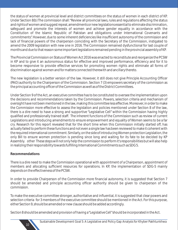the status of women at provincial level and district committees on the status of women in each district of KP. Under Section 8(b) The commission shall: "Review all provincial laws, rules and regulations affecting the status and rights of women and suggest repeal, amendments or new legislations essential to eliminate discrimination, safeguard and promote the interests of women and achieve gender equality in accordance with the Constitution of the Islamic Republic of Pakistan and obligations under International Covenants and commitments". However, due to some inherent deficiencies like insufficient autonomy of the commission and lack of financial powers of the chairperson coinciding with the Secretary of the Commission, instigated to amend the 2009 legislation with new one in 2016. The Commission remained dysfunctional for last couple of months and due to that reason some important legislations remained pending in the provincial assembly of KP.

The Provincial Commission on Status of Women Act 2016 was enacted to reconstitute and reorganize the PCSW in KP and to give it an autonomous status for effective and improved performance, efficiency and for it to become responsive to provide effective services for promoting women rights and eliminate all forms of discrimination against women and for matters connected therewith and ancillary thereto.

The new legislation is a better version of the law. However, it still does not give Principle Accounting Officer (PAO) authority to the Chairperson of the Commission. Section 7 (3) empowers secretary of the commission as the principal accounting officer of the Commission as well as of the District Committees.

Under Section 9 of the Act, an executive committee has to be constituted to oversee the implementation upon the decisions and recommendations taken by the Commission. Powers, selection criteria and mechanism of oversight have not been mentioned in the law, making this committee less effective. Moreover, in order to make the Commission more effective to assess the legislation and policies mentioned under Section 8 of the law, there is a dire need to have a strong and supportive "Legislative Cell" within the Commission having highly qualified and professionally trained staff. The inherent functions of the Commission such as review of current Legislations and introducing amendments to ensure empowerment and equality of Women seems to be a far cry. Research for this report revealed that for the short time when this Commission initially started off, has actually failed to perform these functions and not even a single law has been reviewed to make it coherent with the required international commitment. Similarly, on the side of introducing Women protection Legislation, the only Bill to ensure women protection is pending since long and waiting for its fate to be decided by KP Assembly. other These steps will not only help the commission to perform it's responsibilities but will also help in realizing their responsibility towards fulfilling International Commitments such as SDG 5.

### **Recommendations**

There is a dire need to make the Commission operational with appointment of a Chairperson, appointment of members and allocating sufficient resources for operations. In KP, the implementation of SDG-5 mainly depends on the effectiveness of the PCSW.

In order to provide Chairperson of the Commission more financial autonomy, it is suggested that Section 7 should be amended and principle accounting officer authority should be given to chairperson of the commission.

To make the executive committee stronger, authoritative and influential, it is suggested that clear powers and selection criteria for 3 members of the executive committee should be mentioned in the Act. For this purpose, either Section 9, should be amended or new clause should be added accordingly.

Section 8 should be amended and provision of having a "Legislative Cell"should be incorporated in the Act.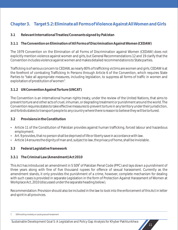# **Chapter 3. Target 5.2: Eliminate all Forms of Violence Against All Women and Girls**

**3.1 Relevant International Treaties/Covenants signed by Pakistan**

**3.1.1 The Convention on Elimination of All Forms of Discrimination Against Women (CEDAW)**

The 1979 Convention on the Elimination of all Forms of Discrimination against Women (CEDAW) does not explicitly mention violence against women and girls, but General Recommendations 12 and 19 clarify that the Convention includes violence against women and makes detailed recommendations to State parties.

Trafficking is of serious concern to CEDAW, as nearly 80% of trafficking victims are women and girls. CEDAW is at the forefront of combating Trafficking In Persons through Article 6 of the Convention, which requires State Parties to "take all appropriate measures, including legislation, to suppress all forms of traffic in women and exploitation of prostitution of women".

### **3.1.2 UN Convention Against Torture (UNCAT)**

The Convention is an international human rights treaty, under the review of the United Nations, that aims to prevent torture and other acts of cruel, inhuman, or degrading treatment or punishment around the world. The Convention requires states to take effective measures to prevent torture in any territory under their jurisdiction, and forbids states to transport people to any country where there is reason to believe they will be tortured.

### **3.2 Provisions in the Constitution**

- Article 11 of the Constitution of Pakistan provides against human trafficking, forced labour and hazardous employment.
- Art. 9 provides, that no person shall be deprived of life or liberty save in accordance with law.
- Article 14 ensures the dignity of man and, subject to law, the privacy of home, shall be inviolable.
- **3.3 Federal Legislative framework**

# **3.3.1 The Criminal Law (Amendment) Act 2010**

This Act has introduced an amendment in S 509<sup>7</sup> of Pakistan Penal Code (PPC) and lays down a punishment of three years along with fine of five thousand rupees for offence of sexual harassment. Currently as the amendment stands, it only provides the punishment of a crime, however, complete mechanism for dealing with such cases is provided in separate Legislation in the form of Protection Against Harassment of Women at Workplace Act, 2010 (discussed under the separate heading below).

Recommendation: Provision should also be included in the law to look into the enforcement of this Act in letter and spirit in all provinces.

<sup>7.</sup> 509 Insulting modesty or causing sexual harassment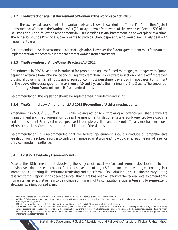### **3.3.2 The Protection against Harassment of Women at the Workplace Act, 2010**

Under the law, sexual harassment at the workplace is a civil as well as a criminal offence. The Protection Against Harassment of Women at the Workplace Act (2010) lays down a framework of civil remedies. Section 509 of the Pakistan Penal Code, following amendments in 2009, classifies sexual harassment in the workplace as a crime. The Act also bounds Provincial Governments to provide Ombudsperson, who would exclusively deal with harassment cases.

Recommendation: Act is a reasonable piece of legislation. However, the federal government must focus on the implementation aspect of this in order to protect women from harassment.

### **3.3.3 The Prevention of Anti-Women Practices Act 2011**

Amendments in P.P.C have been introduced for prohibition against forced marriages, marriages with Quran, depriving a female from inheritance and giving away female in vani or swara in section 2 of the act.<sup>8</sup> Moreover, provincial government shall not suspend, remit or commute punishment awarded in rape cases. Punishment for the above offences ranges from maximum of 10 and 7 years to the minimum of 5 to 3 years. The amount of the fine ranges from Rs one million to Rs five hundred thousand.

Recommendation: The legislation should be implemented in true letter and spirit

**3.3.4 The Criminal Law (Amendment) Act 2011 (Prevention of Acid crimes incidents)**

Amendment in S 332<sup>°</sup> & 336<sup>10</sup> of P.P.C while making act of Acid throwing an offence punishable with life imprisonment and fine of one million rupees. The amendment in its current state is only oriented towards crime and its punishment. From victims perspective it is completely silent and does not offer any mechanism to deal with issues such as: Compensation and rehabilitation of the victims.

Recommendation: It is recommended that the federal government should introduce a comprehensive legislation on the subject in order to curb this menace against women And would ensure some sort of relief for the victim under this offence.

# **3.4 Existing Law/Policy Framework in KP**

Despite the 18th amendment devolving the subject of social welfare and women development to the provinces we do not see much done for the achievement of target 5.2, that focuses on ending violence against women and combating ills like human trafficking and other forms of exploitations in KP. On the contrary, during research for this report, it has been observed that there has been an effort at the federal level to amend antihumanitarian laws, that remain to be violative of human rights, constitutional guarantees and to some extent, also, against injunctions of Islam.

<sup>8.</sup> 2. Substitution of section 310-A, Act XLV of 1860.- In the Pakistan Penal Code (Act XLV of 1860), in Chapter XV, for section 310A

<sup>332.</sup> Hurt: (1) Whoever causes pain, harm, disease, infianity or injury to any person or impairs, disables or dismembers any organ of the body or part thereof of any person without causing his death, is said to cause hurt.

<sup>(2)</sup> The following are the kinds of hurt : (a) Itlaf-i-udw (b) itlaf-i-salahiyyat-i-udw (c) shajjah (d) jurh and (e) all kinds of other hurts.

<sup>10.</sup> 336. Punishment for itlaf-i-salahiyyat-i-udw : Whoever, by doing any act with the intention of causing hurt to any person, or with the knowledge that he is likely to cause hurt to any person, causes itlaf-i-salahiyyat-i-udw of any person, shall, in consultation with the authorised medical officer, be punished with qisas and if the qisas is not executable, keeping in view the principles of equality in accordance with the Injunctions of Islam, the offender shall be liable to arsh and may also be punished with imprisonment of either description for a term which may extend to ten years as taz'ir.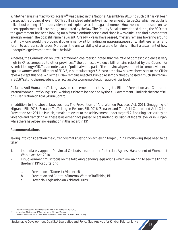While the harassment at workplace law<sup>11</sup> was passed in the National Assembly in 2010, no such bill has yet been passed at the provincial level in KP. This bill is indeed substantive in achievement of target 5.2, which particularly talks about ending all forms of violence and exploitive actions against women. However no ombudsperson has been appointment till date though mandated by the law. The Deputy Speaker mentioned during the FGD that the government has been looking for a female ombudsperson and since it was difficult to find a competent enough woman, the post still remains vacant. Already 7 years have passed; mystery remains hovering around that, how long would the provincial government wait for finding an appropriate person while there remains no forum to address such issues. Moreover, the unavailability of a suitable female is in itself a testament of how underprivileged women remain to be in KP.

Whereas, the Commission on Status of Women chairperson noted that the ratio of domestic violence is very high in KP as compared to other provinces,<sup>12</sup> the domestic violence bill remains rejected by the Council for Islamic Ideology (CII). This denotes, lack of political will at part of the provincial government to combat violence against women and fulfillment of SDG 5, in particular target 5.2 as no other law has ever been sent to the CII for review except this one. While the KP law remains rejected, Punjab Assembly already passed a much stricter law in 2016<sup>13</sup> setting the precedent to enact laws for women protection at provincial level.

As far as Anti Human trafficking Laws are concerned under this target a Bill on "Prevention and Control on Internal Women Trafficking: is still waiting its fate to be decided by the KP Government. Similar is the fate of Bill on KP legislation on Acid & Burn Control.

In addition to the above, laws such as; The Prevention of Anti-Women Practices Act, 2011, Smuggling of Migrants Bill, 2016 (Senate), Trafficking in Persons Bill, 2016 (Senate), and The Acid Control and Acid Crime Prevention Act, 2011 in Punjab, remains relevant to the achievement under target 5.2. Focusing particularly on violence and trafficking all these laws either have passed or are under discussion at federal level or in Punjab, while there have been no legislation in this regard in KP.

# **Recommendations**

Taking into consideration the current dismal situation on achieving target 5.2 in KP following steps need to be taken:

- 1. Immediately appoint Provincial Ombudsperson under Protection Against Harassment of Women at Workplace Act, 2010
- 2. KP Government must focus on the following pending legislations which are waiting to see the light of the day in KP for quite long:
	- a. Prevention of Domestic Violence Bill
	- b. Prevention and Control of Internal Women Trafficking Bill
	- c. Provincial Legislation on Acid and Burns

<sup>11.</sup> The Protection against Harassment of Women at the workplace Act,2010,

<sup>12.</sup> Ms. Neelum, Chairperson KP Commission on Status of Women THE PUNJAB PROTECTION OF WOMEN AGAINST VIOLENCE ACT 2016 (Act XVI of 2016)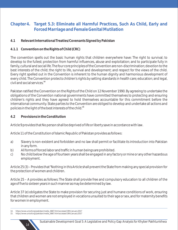# **Chapter 4. Target 5.3: Eliminate all Harmful Practices, Such As Child, Early and Forced Marriage and Female Genital Mutilation**

- **4.1 Relevant International Treaties/Covenants Signed by Pakistan**
- **4.1.1 Convention on the Rights of Child (CRC)**

The convention spells out the basic human rights that children everywhere have: The right to survival; to develop to the fullest; protection from harmful influences, abuse and exploitation; and to participate fully in family, cultural and social life. The four core principles of the Convention are non-discrimination; devotion to the best interests of the child; the right to life, survival and development; and respect for the views of the child. Every right spelled out in the Convention is inherent to the human dignity and harmonious development of every child. The Convention protects children's rights by setting standards in health care; education; and legal, **<sup>14</sup>** civil and social services.

Pakistan ratified the Convention on the Rights of the Child on 12 November 1990. By agreeing to undertake the obligations of the Convention national governments have committed themselves to protecting and ensuring children's rights and they have agreed to hold themselves accountable for this commitment before the international community. State parties to the Convention are obliged to develop and undertake all actions and **<sup>15</sup>** policies in the light of the best interests of the child.

**4.2 Provisions in the Constitution** 

Article 9 provides that No person shall be deprived of life or liberty save in accordance with law.

Article 11 of the Constitution of Islamic Republic of Pakistan provides as follows:

- a) Slavery is non-existent and forbidden and no law shall permit or facilitate its introduction into Pakistan in any form.
- b) All forms of forced labor and traffic in human beings are prohibited.
- c) No child below the age of fourteen years shall be engaged in any factory or mine or any other hazardous employment.

Article 25 (3) – Provides that "Nothing in this Article shall prevent the State from making any special provision for the protection of women and children.

Article 25 – A provides as follows: The State shall provide free and compulsory education to all children of the age of five to sixteen years in such manner as may be determined by law.

Article 37 (e) obligates the State to make provision for securing just and humane conditions of work, ensuring that children and women are not employed in vocations unsuited to their age or sex, and for maternity benefits for women in employment.

<sup>15.</sup> https://www.unicef.org/pakistan/media\_6667.html accessed 19th January 2017



<sup>14.</sup> https://www.unicef.org/pakistan/media\_6667.html accessed 19th January 2017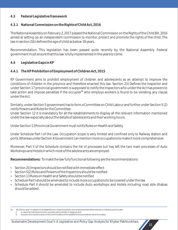### **4.3 Federal Legislative framework**

### **4.3.1 National Commission on the Rights of Child Act, 2016**

The National Assembly on February 2, 2017 passed the National Commission on the Rights of the Child Bill, 2016 aimed at setting up an independent commission to monitor, protect and promote the rights of the child. The law in section 2(b) defines the age of child as below 18 years.

Recommendation: This legislation has been passed quite recently by the National Assembly. Federal government must ensure that this law is fully implemented in the years to come.

#### **4.4 Legislative Gaps in KP**

### **4.4.1 The KP Prohibition of Employment of Children Act, 2015**

KP Government aims to prohibit employment of children and adolescents as an attempt to improve the conditions of children in the province and therefore enacted this law. Section 2(i) Defines the Inspector and under Section 17 provincial government is supposed to notify the Inspectors who under the Act has powers to take action and impose penalties if the occupier<sup>16</sup> who employs workers is found to be violating any clause under the Act.

Similarly, under Section 5 government has to form a Committee on Child Labour and further under Section 5 (2) notify Powers and Rules for the Committee.

Under Section 12 it is mandatory for all the establishments to display all the relevant information mentioned under the law especially about the details of adolescents and their working hours.

Under Section 13 Provincial Government must notify Rules on Health and Safety.

Under Schedule Part I of the Law, Occupation scope is very limited and confined only to Railway station and ports. Whereas under Section 4 Government can mention more occupations to make it more comprehensive.

Moreover, Part II of the Schedule contains the list of processes but has left the two main processes of Auto Workshops and Hotels in which most of the adolescents are employed.

**Recommendations:** To make the law fully functional following are the recommendations:

- $\cdot$  Section 2(i) Inspectors should be notified with immediate effect
- Section 5(2) Rules and Powers of the Inspectors should be notified
- Section 13 Rules on Health and Safety should be notified
- Schedule Part I should be amended to include more occupations to be covered under the law
- Schedule Part II should be amended to include Auto workshops and Hotels including road side dhabas should be added.

<sup>16.</sup> Sec 2(l)"occupier"in relation to an establishment, means the person who employs workers either directly or indirectly and includes--

i) In case of an individual, any heir, successor, administrator or assignee; and

ii) A person who has the overall control over the affairs of the establishment by whatever name he is called;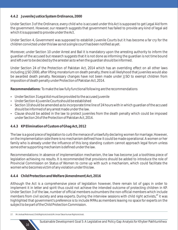#### **4.4.2 Juvenile Justice System Ordinance, 2000**

Under Section 3 of the Ordinance, every child who is accused under this Act is supposed to get Legal Aid form the government. However, our research suggests that government has failed to provide any kind of legal aid which it is supposed to provide under the Act.

Under Section 4, Government was supposed to establish Juvenile Courts but it has become a far cry for the children convicted under this law as not a single court has been notified as yet.

Moreover, under Section 10 under Arrest and Bail it is mandatory upon the arresting authority to inform the guardian of the accused but research suggests that it is not done as informing the guardian is not time bound and left over to be decided by the arrester as to when the guardian should be informed.

Under Section 24 of the Protection of Pakistan Act, 2014 which has an overriding effect on all other laws including JJSO 2000, after lifting moratorium on death penalty, there is all likelyhood that juveniles would also be awarded death penalty. Necessary changes have not been made under JJSO to exempt children from imposition of death penalty under Protection of Pakistan Act, 2014.

**Recommendations:** To make the law fully functional following are the recommendations

- Under Section 3 Legal Aid must be provided to the accused juvenile
- Under Section 4 Juvenile Courts should be established
- Section 10 should be amended as to incorporate time line of 24 hours with in which quardian of the accused should be informed of any arrest made under the law.
- Clause should be added in the law to protect juveniles from the death penalty which could be imposed under Section 24 of the Protection of Pakistan Act, 2014.

### **4.4.3 KP Elimination of Custom of Ghag Act, 2012**

The law is a good piece of legislation to curb the menace of unlawfully declaring women for marriage. However, on the implementation side there is no mechanism defined how it could be made operational. A women or her family who is already under the influence of this long standing custom cannot approach legal forum unless some other supporting mechanism is defined under the law.

Recommendations: In absence of implementation mechanism, the law has become just a toothless piece of legislation achieving no results. It is recommended that provisions should be added to introduce the role of Provincial Commission on Status of Women to come up with such a mechanism, which could facilitate the women who becomes victim of any violation under this law.

### **4.4.4 Child Protection and Welfare (Amendment) Act, 2016**

Although the Act is a comprehensive piece of legislation however, there remain lot of gaps in order to implement it in letter and spirit thus could not achieve the intended outcome of protecting children in KP. Under Section 3 of the law, number of official members outnumbers the non-official members which include members from civil society and area experts. During the interview sessions with child right activists,<sup>17</sup> it was highlighted that government's preference is to include MPAs as members leaving no space for experts on the subject to be part of the Child Protection Commission.

<sup>17.</sup> Mr. Arshad Mehmood, Child Rights Activist & Mr. Imran Takar Human Rights Activist.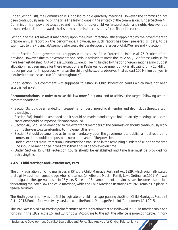Under Section 3(8), the Commission is supposed to hold quarterly meetings. However, the commission has been continuously missing on the time line leaving gaps in the efficacy of the commission. Under Section 4(j) Commission is empowered to acquire and mobilize funds for child welfare, protection and rights. However, due to non-serious attitude towards the issue the commission constantly faced financial crunch.

Section 7 of the Act makes it mandatory upon the Chief Protection Officer appointed by the government to prepare annual report on the performance. However, no such report has been prepared till date, to be submitted to the Provincial Assembly who could deliberate upon the issues of Child Welfare and Protection.

Under Section 9, the government is supposed to establish Child Protection Units in all 25 Districts of the province. However, due to governments non-serious attitude towards the issue only 12 of these units so far have been established. Out of these 12 units 11 are still being funded by the donor organizations as no budget allocation has been made for these except one in Peshawar. Government of KP is allocating only 10 Million rupees per year for this purpose whereas the child rights experts observed that at least 100 Million per year is required to establish and run CPU's throughout KP.

Under Section 15 Government was supposed to establish Child Protection courts which have not been established as yet.

**Recommendations:** In order to make this law more functional and to achieve the target, following are the recommendations:

- Section 3 should be amended to increase the number of non official member and also include the experts on the subject
- Section 3(8) should be amended and it should be made mandatory to.hold quarterly meetings and some sanctions should be imposed if it is not complied
- Section 4(j) Should be amended to the extent that members of the commission should continuously work during the year to secure funding to implement this law.
- Section 7 should be amended as to make mandatory upon the government to publish annual report and some sanction should be imposed on non compliance of the provision
- Under Section 9 More Protection, units must be established in the remaining districts of KP and some time line should be mentioned in the Law so that it could be achieved on time.
- Under Section 15 Child Protection Courts should be established and time line must be provided for achieving this.

# **4.4.5 Child Marriage and Restraint Act, 1929**

The only legislation on child marriages in KP is the Child Marriage Restraint Act 1929, which originally stated that a girl was of marriageable age when she turned 14. After the Muslim Family Laws Ordinance, 1961 (VIII) was promulgated, the age was raised to 16 years. Since the 18th amendment, provinces have become responsible for drafting their own laws on child marriage, while the Child Marriage Restraint Act 1929 remains in place in federal territory.

The Sindh government was the first to legislate on child marriage, passing the Sindh Child Marriages Restraint Act in 2013. Punjab followed two years later with the Punjab Marriage Restraint (Amendment) Act 2015.

The 1929 Act served as a starting point for much of the legislation that has followed in KP. The marriageable age for girls in the 1929 act is 16, and 18 for boys. According to the act, the offence is non-cognizable. In non-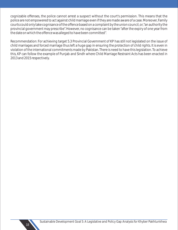cognizable offenses, the police cannot arrest a suspect without the court's permission. This means that the police are not empowered to act against child marriage even if they are made aware of a case. Moreover, Family courts could only take cognisance of the offence based on a complaint by the union council, or, "an authority the provincial government may prescribe". However, no cognisance can be taken "after the expiry of one year from the date on which the offence was alleged to have been committed".

Recommendation: For achieving target 5.3 Provincial Government of KP has still not legislated on the issue of child marriages and forced marriage thus left a huge gap in ensuring the protection of child rights. It is even in violation of the international commitments made by Pakistan. There is need to have this legislation. To achieve this, KP can follow the example of Punjab and Sindh where Child Marriage Restraint Acts has been enacted in 2013 and 2015 respectively.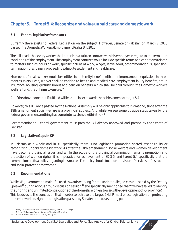# **Chapter 5. Target 5.4: Recognize and value unpaid care and domestic work**

#### **5.1 Federal legislative framework**

Currently there exists no Federal Legislation on the subject. However, Senate of Pakistan on March 7, 2015 passed The Domestic Workers (Employment Rights Bill, 2015.

The bill reads that every worker shall enter into a written contract with his employer in regard to the terms and conditions of the employment. The employment contract would include specific terms and conditions related to matters such as hours of work, specific nature of work, wages, leave, food, accommodation, suspension, termination, disciplinary proceedings, dispute settlement and healthcare.

Moreover, a female worker would be entitled to maternity benefits with a minimum amount equivalent to three months salary. Every worker shall be entitled to health and medical care, employment injury benefits, group insurance, housing, gratuity, bonus and pension benefits, which shall be paid through the Domestic Workers **<sup>18</sup>** Welfare Fund, the bill aims to ensure.

All of the above concerns, if fulfilled will lead us closer towards the achievement of target 5.4.

However, this Bill once passed by the National Assembly will be only applicable to Islamabad, since after the 18th amendment social welfare is a provincial subject. And while we see some positive steps taken by the federal government, nothing has come into existence within the KP.

Recommendation: Federal government must pass the Bill already approved and passed by the Senate of Pakistan.

### **5.2 Legislative Gaps in KP**

In Pakistan as a whole and in KP specifically, there is no legislation promoting shared responsibility or recognizing unpaid domestic work. As after the 18th amendment, social welfare and women development have become provincial issues, and while the scope of the provincial commission remains promotion and protection of women rights, it is imperative for achievement of SDG 5, and target 5.4 specifically that the commission drafts a policy regarding this matter. The policy should focus on provision of services, infrastructure and social protection for women.

#### **5.3 Recommendations**

While KP government remains focused towards working for the underprivileged classes as told by the Deputy Speaker<sup>19</sup> during a focus group discussion session,<sup>20</sup> she specifically mentioned that "we have failed to identify the untiring and unlimited contributions of the domestic workers towards the development of KP province". This leads us to the conclusion that in order to achieve the target 5.4, KP must enact legislation on protecting domestic workers' rights and legislation passed by Senate could be a starting point.

<sup>18.</sup> http://www.senate.gov.pk/uploads/documents/1390294147\_766.pdf

<sup>19.</sup> Dr.Meher Taj Roghani, Deputy Speaker, KP Provincial Assembly. 20. Held at PC Hotel, Peshawar on 11th of January 2017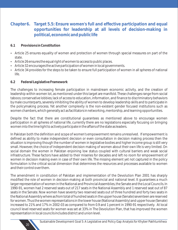# **Chapter 6. Target 5.5: Ensure women's full and effective participation and equal opportunities for leadership at all levels of decision-making in political, economic and public life**

- **6.1 Provisions in Constitution**
- Article 25 ensures equality of women and protection of women through special measures on part of the state.
- Article 26 ensures the equal right of women to access to public places.
- Article 32 encourages the active participation of women in local governments.
- Article 34 provides for the steps to be taken to ensure full participation of women in all spheres of national life.

### **6.2 Federal Legislative Framework**

The challenges to increasing female participation in mainstream economic activity, and the creation of leadership within women lot, as mentioned under this target are manifold. These challenges range from social taboos; conservative lobbies; lack of access to education, information, and finance to discriminatory behaviors by male counterparts, severely inhibiting the ability of women to develop leadership skills and to participate in the policymaking process. Yet another complexity is the non-existent gender focused institutions such as women chambers, which generally act as facilitators in networking, mentorship, and learning opportunities.

Despite the fact that there are constitutional guarantees as mentioned above to encourage women participation in all spheres of national life, currently there are no legislations especially focusing on bringing women into the lime light to actively participate in the affairs of the state as leaders.

In Pakistan both the definition and scope of women's empowerment remains unresolved. If empowerment is defined as ability to make independent decision or even consultation in decision making process then the situation is improving though the number of women in legislative bodies and higher income group is still very small. However, the choice of independent decision making of women about their own life is very limited. On social domain the women in Pakistan enjoining low status coupled with cultural barriers and weak social infrastructure. These factors have added to their miseries for decades and left no room for empowerment of women in decision making even in case of their own life. The missing element yet not captured in the policy formulation is the critical social dimension that determines the resources and processes available to women and their control over them.

The amendment in constitution of Pakistan and implementation of the Devolution Plan 2001 has sharply modified the role of women in decision-making at both provincial and national level. It guarantees a much larger representation of women in the National and Provincial Assemblies, the Senate and the Local Councils. In 1990-91, women had 2 reserved seats out of 217 seats in the National Assembly and 1 reserved seat out of 87 seats in the Senate. Now women have seventy two reserved seats out of three hundred and forty two seats in the National Assembly where as from total of hundred seats in the upper house (Senate) seventeen are reserved for women. Thus the women representations in the lower house (National Assembly) and upper house (Senate) increased to 21% and 17% in 2002-03 as compared to from 0.9 and 1 percent in 1990-91 respectively. At local council level reserved seats for women was set at 33% in The Devolution Plan, that has improved the women representation in local councils includes district and union level.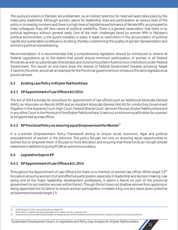The quota provisions in Pakistan are problematic, as an indirect selection for reserved seats takes place by the male party leadership. Although women, aspire for leadership roles and participation at various level of the polity in increasing numbers and there is a high level of legislative performance of female MPs, as compared to male colleagues, they still face issues of political credibility. There is a general observation that there is no political legitimacy without general seats. One of the main challenges faced by women MPs in Pakistan's political environment, is the quota modality in place. It leads to restrictions in the accumulation of political capital and sustainable constituency-building, thereby undermining the quality of gender representation and women's political mainstreaming.

Recommendation: It is recommended that a comprehensive legislation should be introduced to amend all Federal Legislations up to the extent that would ensure minimum participation of women in all Federal Ministries as well as subordinate Directorates and Autonomous/Semi Autonomous institutions under Federal Government. This would on one hand show the resolve of Federal Government towards achieving Target 5.5and on the other, would set an example for the Provincial governments to introduce the same legislations at provincial level.

- **6.3 Existing Law/Policy in Khyber Pakhtunkhwa**
- **6.3.1 KP Appointment of Law Officers Act 2014**

The Act of 2014 provides for procedure for appointment of law officers such as: Additional Advocate General (AAG), an Advocate-on-Record (AOR) and an Assistant Advocate General (Ast AG for conducting Government litigation in the Supreme Court, High Court, Federal Shariat Court, Services Tribunal, Khyber Pakhtunkhwa and in any other Court in the Province of the Khyber Pakhtunkhwa). It sets out a minimum qualification for a person to be appointed as a law officer.

# **<sup>21</sup> 6.3.2 KP Provincial Policy on ensuring equal Empowerment for Women**

It is a women Empowerment Policy Framework aiming to ensure social, economic, legal and political empowerment of women in the province. This policy focuses not only on ensuring equal opportunities to women but to empower them. It focuses on fund allocation and ensuring that those funds do not get utilized elsewhere in addition to giving PCSW an autonomous status.

**6.4 Legislative Gaps in KP**

# **6.4.1 KP Appointment of Law Officers Act, 2014**

**<sup>22</sup>** Throughout the Appointment of Law Officers Act there is no mention of women law officer. While target 5.5 focuses on ensuring women's full and effective participation, especially in leadership and decision making. Law being one of the major leadership development professions, it seems a failure on part of the provincial government to not mention women within the Act. Though the Act does not disallow women from applying or being appointed but its failure to ensure women participation is indeed a big one and slows down potential achievements towards target 5.5.

<sup>21.</sup> PCSW-KP, April 12, 2015- Launching Ceremony Held in KP.

http://reforms\_implementat.kp.gov.pk/page/social\_welfare\_women\_empowerment

<sup>22.</sup> Ensure women's full and effective participation and equal opportunities for leadership at all levels of decision-making in political, economic and public life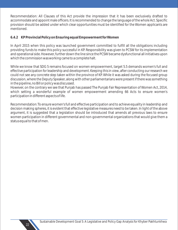Recommendation: All Clauses of this Act provide the impression that it has been exclusively drafted to accommodate and appoint male officers. It is recommended to change the language of the whole Act. Specific provision should be added under which clear opportunities must be identified for the Women applicants are mentioned.

### **6.4.2 KP Provincial Policy on Ensuring equal Empowerment for Women**

In April 2015 when this policy was launched government committed to fulfill all the obligations including providing funds to make this policy successful in KP. Responsibility was given to PCSW for its implementation and operational side. However, further down the line since the PCSW became dysfunctional all initiatives upon which the commission was working came to a complete halt.

While we know that SDG 5 remains focused on women empowerment, target 5.5 demands women's full and effective participation for leadership and development. Keeping this in view, after conducting our research we could not see any concrete step taken within the province of KP. While it was asked during the focused group discussion, where the Deputy Speaker, along with other parliamentarians were present if there was something in the pipeline, no Bill or policy was discussed.

However, on the contrary we see that Punjab has passed The Punjab Fair Representation of Women Act, 2014, which setting a wonderful example of women empowerment amending 66 Acts to ensure women's participation in different aspects of life.

Recommendation: To ensure women's full and effective participation and to achieve equality in leadership and decision making spheres, it is evident that effective legislative measures need to be taken. In light of the above argument, it is suggested that a legislation should be introduced that amends all previous laws to ensure women participation in different governmental and non-governmental organizations that would give them a status equal to that of men.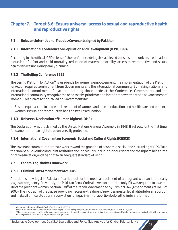# **Chapter 7. Target 5.6: Ensure universal access to sexual and reproductive health and reproductive rights**

**7.1 Relevant International Treaties/Covenants signed by Pakistan**

# **7.1.1 International Conference on Population and Development (ICPD) 1994**

According to the official ICPD release,<sup>23</sup> the conference delegates achieved consensus on universal education, reduction of infant and child mortality, reduction of maternal mortality, access to reproductive and sexual health services including family planning.

### **7.1.2 The Beijing Conference 1995**

The Beijing Platform for Action<sup>24</sup> is an agenda for women's empowerment. The implementation of the Platform for Action requires commitment from Governments and the international community. By making national and international commitments for action, including those made at the Conference, Governments and the international community recognize the need to take priority action for the empowerment and advancement of women. This plan of Action called on Governments to:

• Ensure equal access to and equal treatment of women and men in education and health care and enhance women's sexual and reproductive health as well as education;

# **7.1.3 Universal Declaration of Human Rights (UDHR)**

The Declaration was proclaimed by the United Nations General Assembly in 1948. It set out, for the first time, fundamental human rights to be universally protected.

# **7.1.4 International Covenant on Economic, Social and Cultural Rights (ICESCR)**

The covenant commits its parties to work toward the granting of economic, social, and cultural rights (ESCR) to the Non-Self-Governing and Trust Territories and individuals, including labour rights and the right to health, the right to education, and the right to an adequate standard of living.

**7.2 Federal Legislative Framework**

# **7.2.1 Criminal Law (Amendment) Ac**t 2005

Abortion is now legal in Pakistan if carried out for the medical treatment of a pregnant woman in the early stages of pregnancy. Previously, the Pakistan Penal Code allowed for abortion only if it was required to save the life of the pregnant woman. Section 338<sup>25</sup> of the Penal Code amended by Criminal Law (Amendment Act No. 1 of 2005): The inclusion of the clause 'providing necessary treatment' provides greater legal latitude for an abortion and makes it difficult to obtain a conviction for isqat-i-haml or abortion before the limbs are formed.

<sup>23.</sup> http://www.unfpa.org/public/site/global/publications/pid/1973

<sup>24.</sup> Report of the Fourth World Conference on Women, Beijing China, 4-15 September 1995 (United Nations publication, Sales No. E.96.IV.13), para. 124).

<sup>25.</sup> "Whoever causes a woman with child whose organs have not been formed, to miscarry, if such miscarriage is not caused in good faith for the purpose of saving the life of the woman, or providing necessary treatment to her, is said to cause Isqat-i-haml."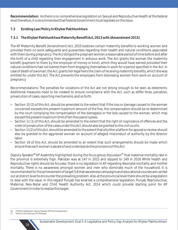**Recommendation:** As there is no comprehensive legislation on Sexual and Reproductive Health at the federal level therefore, it is recommended that Federal Government must legislate on the issue.

### **7.3 Existing Law/Policy in Khyber Pakhtunkhwa**

**7.3.1 The Khyber Pakhtunkhwa Maternity Benefit Act, 2013 with (Amendment 2015)**

The KP Maternity Benefit (Amendment) Act, 2015 bestows certain maternity benefits to working women and provides them on work safeguards and guarantees regarding their health and natural conditions associated with them during pregnancy. The Act obliges the pregnant women a reasonable period of time before and after the birth of a child regarding their engagement in arduous work. The Act grants the woman the maternity benefit (payment to them by the employer of money or kind), which they would have earned provided their natural conditions had not barred them from engaging themselves in work for a period specified in the Act. In case of death of a woman, the Act, grants her legal heirs the claim of receiving maternity benefits, which she was entitled for under this Act. The Act prevents the employers from dismissing women from work on account of pregnancy

Recommendations: The penalties for violations of the Act are not strong enough to be seen as deterrents. Additional measures need to be created to ensure compliance with the Act, such as stiffer fines, penalties, prosecution of cases, reporting mechanisms, and so forth.

- Section 10 (2) of this Act, should be amended to the extent that if the loss or damage caused to the woman concerned exceeds the present maximum amount of the fine, the compensation should be re-determined by the court complying the compensation of the damage(s) or the loss caused to the woman, which may exceed the present maximum limit of ten thousand rupees.
- Section 11 (1) of this Act, should be amended to the extent that the right of cognizance of offences and the order of prosecution of the cases under this Act, should also be granted to the civil courts.
- Section 11(2) of this Act, should be amended to the extent that a further platform for appeal or review should also be granted to the aggrieved woman on account of alleged misconduct of authority by the director labor.
- Section 16 of this Act, should be amended to an extent that such arrangements should be made which ensure that each woman is aware of and understands the provisions of this Act.

Deputy Speaker<sup>26</sup> KP Assembly highlighted during the focus group discussion<sup>27</sup> that maternal mortality rate in the province is extremely high. Pakistan was at 147 in 2015 and slipped to 149 in 2016 While health and Reproductive rights should be focused, there is no legislation in KP regarding Neonatal mortality and mother mortality. There is no awareness amongst women and men who dominate much of the household. It is recommended for the achievement of target 5.6 that awareness campaigns and educational courses are carried out at district level to encounter the prevailing problem. Also at the provincial level there should be a legislation to deal with the issue. In this regard Punjab has enacted a comprehensive legislation; Punjab Reproductive, Maternal, Neo-Natal and Child Health Authority Act, 2014 which could provide starting point for KP Government in order to realize this target.

- 26. Dr.Meher Taj Roghani, Deputy Speaker, KP Provincial Assembly.
- 27. Held on 11th of January, PC Peshawar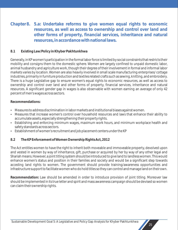# **Chapter 8. 5.a: Undertake reforms to give women equal rights to economic resources, as well as access to ownership and control over land and other forms of property, financial services, inheritance and natural resources, in accordance with national laws.**

### **8.1 Existing Law/Policy in Khyber Pakhtunkhwa**

Generally, in KP women's participation in the formal labor force is limited by social constraints that restricts their mobility and consigns them to the domestic sphere. Women are largely confined to unpaid domestic labor, animal husbandry and agriculture work, though their degree of their involvement in formal and informal labor markets varies by location. Women are also heavily involved in small scale manufacturing enterprises/ cottage industries, primarily in furniture production and textiles related crafts such as sewing, knitting, and embroidery. There is a huge Legislative gap to ensure women's equal rights to economic resources, as well as access to ownership and control over land and other forms of property, financial services, inheritance and natural resources. A significant gender gap in wages is also observable with women earning an average of only 42 percent of men's wages across sectors.

#### **Recommendations:**

- Measures to address discrimination in labor markets and institutional biases against women.
- Measures that increase women's control over household resources and laws that enhance their ability to accumulate assets, especially strengthening their property rights.
- Establishing and enforcing minimum wages, maximum work hours, and minimum workplace health and safety standards across sectors.
- Establishment of women's recruitment and job placement centers under the KP

### **8.2 The KP Enforcement of Women Ownership Rights Act, 2012**

The Act entitles women to have the right to inherit both moveable and immoveable property, devolved upon and vested in women by way of inheritance, gift, purchase or acquired by her by way of any other legal and Shariah means. However, a joint titling system should be introduced to give land to landless women. This would enhance women's status and position in their families and society and would be a significant step towards acceding land rights to women. The government should provide training/awareness opportunities and infrastructure support to facilitate women who do hold titles so they can control and manage land on their own.

**Recommendation:** Law should be amended in order to introduce provision of joint titling. Moreover law should be implemented in its true letter and spirit and mass awareness campaign should be devised so women can claim their ownership rights.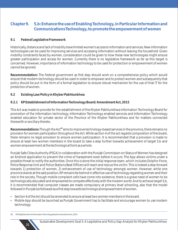# **Chapter 9. 5.b: Enhance the use of Enabling Technology, in Particular Information and Communications Technology, to promote the empowerment of women**

#### **9.1 Federal Legislative Framework**

Historically, distance and lack of mobility have limited women's access to information and services. New information technologies can be used for improving services and accessing information without leaving the household. Given mobility constraints faced by women, consideration could be given to how these new technologies might ensure greater participation and access for women. Currently there is no legislative framework as far as this target is concerned. However, importance of information technology to be used for protection or empowerment of women cannot be ignored.

**Recommendation:** The Federal government as first step should work on a comprehensive policy which would ensure that modern technology should be used in order to empower and to protect women and subsequently that policy should be put in the form of a formal legislation to ensure robust mechanism for the use of that IT for the protection of women.

**9.2 Existing Law/Policy in Khyber Pakhtunkhwa** 

#### **9.2.1 KP Establishment of Information Technology Board/ Amendment Act, 2015**

This Act was made to provide for the establishment of the Khyber Pakhtunkhwa Information Technology Board for promotion of the information technology, Information Technology enabled services and Information Technology enabled education for private sector of the Province of the Khyber Pakhtunkhwa and for matters connected therewith or ancillary thereto.

Recommendations: Though the Act<sup>28</sup> aims to improve technology-based services in the province, there remains no provision for women participation throughout the Act. While section 4 of the act regards composition of the board, there remains no legal provision to ensure women participation. It is recommended that a provision is made to ensure at least two women members in the board to take a step further towards achievement of target 5.b and women empowerment at the technological front as a whole.

Punjab Safe Cities Authority (PSCA) in collaboration with the Punjab Commission on Status of Women has designed an Android application to prevent the crime of harassment even before it occurs. The App allows victims under a possible threat to notify the authorities. Once this is done the initial response team, which includes Dolphin Force, Police Response Unit and Police Stations Beat Officers will reach and rescue the victim. This is indeed a step forward towards 1) protection of women, 2) enhancement of use of technology amongst women. However, while one province stands at the said position, KP remains far behind in effective use of technology regarding women and their role in the society. Though mobile complaint cells have come into existence, there is a grave need of women to be technologically educated and empowered to compete effectively with the modern world. And to achieve target 5.b, it is recommended that computer classes are made compulsory at primary level schooling, also that the model followed in Punjab be followed as a first step towards technological empowerment of women.

- Section 4 of the Act should be amended to ensure at least two women members in the board.
- Mobile App should be launched as Punjab Government has to facilitate and encourage women to use modern technology.

28. KP Establishment of Information Technology Board/ Amendment Act, 2015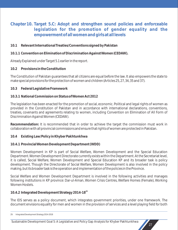# **Chapter 10. Target 5.C: Adopt and strengthen sound policies and enforceable legislation for the promotion of gender equality and the empowerment of all women and girls at all levels**

- **10.1 Relevant International Treaties/Conventions signed by Pakistan**
- **10.1.1 Convention on Elimination of Discrimination Against Women (CEDAW).**

Already Explained under Target 5.1 earlier in the report.

**10.2 Provisions in the Constitution**

The Constitution of Pakistan guarantees that all citizens are equal before the law. It also empowers the state to make special provisions for the protection of women and children (Articles 25, 27, 34, 35 and 37).

### **10.3 Federal Legislative Framework**

### **10.3.1 National Commission on Status of Women Act 2012**

The legislation has been enacted for the promotion of social, economic. Political and legal rights of women as provided in the Constitution of Pakistan and in accordance with international declarations, conventions, treaties, covenants and agreements relating to women, including Convention on Elimination of All Form of Discrimination Against Women (CEDAW).

**Recommendation:** It is recommended that in order to achieve the target the commission must work in collaboration with all provincial commissions and ensure that rights of women are protected in Pakistan.

**10.4 Existing Law/Policy in Khyber Pakhtunkhwa** 

### **10.4.1 Provincial Women Development Department (WDD)**

Women Development in KP is part of Social Welfare, Women Development and the Special Education Department. Women Development Directorate currently exists within the Department. At the Secretariat level, it is called, Social Welfare, Women Development and Special Education KP and its broader task is policy development. Though the Directorate of Social Welfare, Women Development is also involved in the policy making, but its broader task is the operation and implementation of the policies in the Province.

Social Welfare and Women Development Department is involved in the following activities and manages following institutions in KP province: Dar-ul-Aman, Women Crisis Centres, Welfare Homes (Female), Working Women Hostels.

**<sup>29</sup> 10.4.2 Integrated Development Strategy 2014-18**

The IDS serves as a policy document, which integrates government priorities, under one framework. The document envisions equality for men and women in the provision of services and a level playing field for both

<sup>29.</sup> Integrated Development Strategy 2014-2018

Sustainable Development Goal 5: A Legislative and Policy Gap Analysis for Khyber Pakhtunkhwa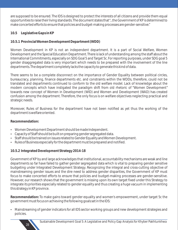are supposed to be ensured. The IDS is designed to protect the interests of all citizens and provide them equal opportunities to raise their living standards. The document states that "...the Government of KP is determined to make concerted efforts to ensure that policies and budget-making processes are gender-sensitive."

**10.5 Legislative Gaps in KP**

# **10.5.1 Provincial Women Development Department (WDD)**

Women Development in KP is not an independent department. It is a part of Social Welfare, Women Development and the Special Education Department. There is lack of understanding among the staff about the International Commitments, especially on SDG Goal 5 and Target 5c. For reporting purposes, under SDG goal 5 gender disaggregated data is very important which needs to be prepared with the involvement of the line departments. The department completely lacks the capacity to generate this kind of data.

There seems to be a complete disconnect on the importance of Gender Equality between political circles, bureaucracy, planning, finance departments etc. and constraints within the WDDs, therefore, could not be translated and departments continued to conform to the old welfare model. Lack of knowledge about the modern concepts which have instigated the paradigm shift from old rhetoric of "Women Development" towards new concept of Women in Development (WID) and Women and Development (WAD) has created confusion among the department. Therefore, the only focus is on welfare objectives neglecting practical and strategic needs.

Moreover, Rules of Business for the department have not been notified as yet thus the working of the department is welfare oriented.

**Recommendation:** 

- Women Development Department should be made Independent.
- Capacity of Staff should be built on preparing gender segregated data.
- Staff should be trained on issues related to Gender Equality and Women Development.
- Rules of Business especially for the department must be prepared and notified.

**10.5.2 Integrated Development Strategy 2014-18**

Government of KP by and large acknowledges that institutional, accountability mechanisms are weak and line departments so far have failed to gather gender segregated data which is vital to preparing gender sensitive budgeting under Integrated Development Strategy. Recognizing the integral and cross-cutting objective of mainstreaming gender issues and the dire need to address gender disparities, the Government of KP must focus to make concerted efforts to ensure that policies and budget-making processes are gender-sensitive. However, our research shows that the government is missing upon its own target fixed under this Strategy to integrate its priorities especially related to gender equality and thus creating a huge vacuum in implementing this strategy in KP province.

**Recommendation:** To make gains toward gender equality and women's empowerment, under target 5c the government must focus on achieving the following goals set in the IDS:

• Mainstreaming of gender indicators for all IDS sector working groups and new development strategies and policies.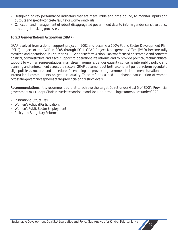- Designing of key performance indicators that are measurable and time bound, to monitor inputs and outputs and specify concrete results for women and girls.
- Collection and management of robust disaggregated government data to inform gender-sensitive policy and budget-making processes.

**10.5.3 Gender Reform Action Plan (GRAP)**

GRAP evolved from a donor support project in 2002 and became a 100% Public Sector Development Plan (PSDP) project of the GOP in 2005 through PC-1. GRAP Project Management Office (PMO) became fully recruited and operational in Feb/Mar 2008. Gender Reform Action Plan was focused on strategic and concrete political, administrative and fiscal support to operationalize reforms and to provide political/technical/fiscal support to women representatives; mainstream women's gender equality concerns into public policy; and planning and enforcement across the sectors. GRAP document put forth a coherent gender reform agenda to align policies, structures and procedures for enabling the provincial government to implement its national and international commitments on gender equality. These reforms aimed to enhance participation of women across the governance spheres at the provincial and district levels.

**Recommendations:** It is recommended that to achieve the target 5c set under Goal 5 of SDG's Provincial government must adopt GRAP in true letter and spirt and focus on introducing reforms as set under GRAP:

- Institutional Structures
- Women's Political Participation,
- Women's Public Sector Employment
- Policy and Budgetary Reforms.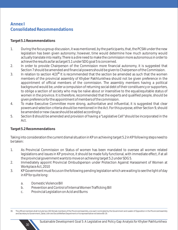# **Annex I Consolidated Recommendations**

### **Target 5.1 Recommendations**

- 1. During the focus group discussion, it was mentioned, by the participants, that, the PCSW under the new legislation has been given autonomy; however, time would determine how much autonomy would actually translate into reality. There is a dire need to make the commission more autonomous in order to achieve the results as far as target 5.1 under SDG goal 5 is concerned.
- 2. In order to provide Chairperson of the Commission more financial autonomy, it is suggested that Section 7 should be amended and financial powers should be given to Chairperson of the Commission.
- 3. In relation to section 4(3)<sup>30</sup> It is recommended that the section be amended as such that the women members of the provincial assembly of Khyber Pakhtunkhwa should not be given preference in the appointment of official members of the commission. The assembly members having a political background would be, under a compulsion of returning social debt of their constituency or supporters, to oblige a section of society who may be naïve about or insensitive to the equal/equitable status of women in the province. It is therefore, recommended that the experts and qualified people, should be given preference for the appointment of members of the commission.
- 4. To make Executive Committee more strong, authoritative and influential, it is suggested that clear powers and selection criteria should be mentioned in the Act. For this purpose, either Section 9, should be amended or new clause should be added accordingly.
- 5. Section 8 should be amended and provision of having a "Legislative Cell"should be incorporated in the Act.

# **Target 5.2 Recommendations**

Taking into consideration the current dismal situation in KP on achieving target 5.2 in KP following steps need to be taken:

- 1. As Provincial Commission on Status of women has been mandated to oversee all women related legislations and issues in KP province, it should be made fully functional, with immediate effect, if at all the provincial government wants to move on achieving target 5.2 under SDG 5.
- 2. Immediately appoint Provincial Ombudsperson under Protection Against Harassment of Women at Workplace Act, 2010
- 3. KP Government must focus on the following pending legislation which are waiting to see the light of day in KP for quite long:
	- a. Domestic Violence Bill
	- b. Prevention and Control of Internal Women Trafficking Bill
	- c. Provincial Legislation on Acid and Burns

<sup>30.</sup> The official members shall include two (02) female members of the Provincial Assembly, one each nominated by the Government and Leader of Opposition in the Provincial Assembly and Secretary to Government, Zakat, Ushr and Social Welfare Department or his representative not below BS-19.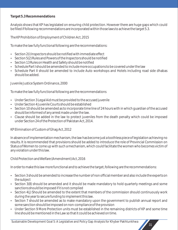### **Target 5.3 Recommendations**

Analysis shows that KP has legislated on ensuring child protection. However there are huge gaps which could be filled if following recommendations are incorporated within those laws to achieve the target 5.3.

The KP Prohibition of Employment of Children Act, 2015

To make the law fully functional following are the recommendations:

- $\cdot$  Section 2(i) Inspectors should be notified with immediate effect
- Section 5(2) Rules and Powers of the Inspectors should be notified
- Section 13 Rules on Health and Safety should be notified
- Schedule Part I should be amended to include more occupations to be covered under the law
- Schedule Part II should be amended to include Auto workshops and Hotels including road side dhabas should be added.

Juvenile Justice System Ordinance, 2000

To make the law fully functional following are the recommendations

- Under Section 3 Legal Aid must be provided to the accused juvenile
- $\cdot$  Under Section 4 Juvenile Courts should be established
- Section 10 should be amended as to incorporate time line of 24 hours with in which guardian of the accused should be informed of any arrest made under the law.
- Clause should be added in the law to protect juveniles from the death penalty which could be imposed under Section 24 of the Protection of Pakistan Act, 2014.

KP Elimination of Custom of Ghag Act, 2012

In absence of implementation mechanism, the law has become just a toothless piece of legislation achieving no results. It is recommended that provisions should be added to introduce the role of Provincial Commission on Status of Women to come up with such a mechanism, which could facilitate the women who becomes victim of any violation under this law.

Child Protection and Welfare (Amendment) Act, 2016

In order to make this law more functional and to achieve the target, following are the recommendations:

- Section 3 should be amended to increase the number of non official member and also include the experts on the subject
- Section 3(8) should be amended and it should be made mandatory to hold quarterly meetings and some sanctions should be imposed if it is not complied
- Section 4(i) Should be amended to the extent that members of the commission should continuously work during the year to secure funding to implement this law.
- Section 7 should be amended as to make mandatory upon the government to publish annual report and some sanction should be imposed on non-compliance of the provision
- Under Section 9 More Protection units must be established in the remaining districts of KP and some time line should be mentioned in the Law so that it could be achieved on time.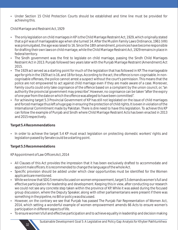• Under Section 15 Child Protection Courts should be established and time line must be provided for achieving this.

Child Marriage and Restraint Act, 1929

- The only legislation on child marriages in KP is the Child Marriage Restraint Act, 1929, which originally stated that a girl was of marriageable age when she turned 14. After the Muslim Family Laws Ordinance, 1961 (VIII) was promulgated, the age was raised to 16. Since the 18th amendment, provinces have become responsible for drafting their own laws on child marriage, while the Child Marriage Restraint Act, 1929 remains in place in federal territory.
- The Sindh government was the first to legislate on child marriage, passing the Sindh Child Marriages Restraint Act in 2013. Punjab followed two years later with the Punjab Marriage Restraint (Amendment) Act 2015.
- The 1929 act served as a starting point for much of the legislation that has followed in KP. The marriageable age for girls in the 1929 act is 16, and 18 for boys. According to the act, the offence is non-cognisable. In noncognisable offenses, the police cannot arrest a suspect without the court's permission. This means that the police are not empowered to act against child marriage even if they are made aware of a case. Moreover, Family courts could only take cognisance of the offence based on a complaint by the union council, or, "an authority the provincial government may prescribe". However, no cognisance can be taken "after the expiry of one year from the date on which the offence was alleged to have been committed".
- For achieving target 5.3 Provincial Government of KP has still not legislated on the issue of child marriages and forced marriage thus left a huge gap in ensuring the protection of child rights. It is even in violation of the International Commitment made by Pakistan. There is dire need to have this legislation. To achieve this KP can follow the example of Punjab and Sindh where Child Marriage Restraint Acts has been enacted in 2013 and 2015 respectively.

**Target 5.4 Recommendations** 

• In order to achieve the target 5.4 KP must enact legislation on protecting domestic workers' rights and legislation passed by Senate could be a starting point.

**Target 5.5 Recommendations**

32

KP Appointment of Law Officers Act, 2014

- All Clauses of this Act provides the impression that it has been exclusively drafted to accommodate and appoint male officers. It is recommended to change the language of the whole Act.
- Specific provision should be added under which clear opportunities must be identified for the Women applicants are mentioned.
- While we know that SDG 5 remains focused on women empowerment, target 5.5 demands women's full and effective participation for leadership and development. Keeping this in view, after conducting our research we could not see any concrete step taken within the province of KP. While it was asked during the focused group discussion, where the Deputy Speaker, along with other parliamentarians were present if there was something in the pipeline, no Bill or policy was discussed.
- However, on the contrary we see that Punjab has passed The Punjab Fair Representation of Women Act, 2014, which setting a wonderful example of women empowerment amends 66 Acts to ensure women's participation in different aspects of life.
- To ensure women's full and effective participation and to achieve equality in leadership and decision making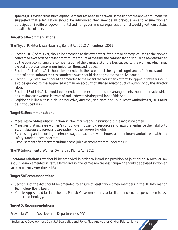spheres, it is evident that strict legislative measures need to be taken. In the light of the above argument it is suggested that a legislation should be introduced that amends all previous laws to ensure women participation in different governmental and non governmental organizations that would give them a status equal to that of men.

**Target 5.6 Recommendations**

The Khyber Pakhtunkhwa Maternity Benefit Act, 2013 (Amendment 2015)

- Section 10 (2) of this Act, should be amended to the extent that if the loss or damage caused to the woman concerned exceeds the present maximum amount of the fine, the compensation should be re-determined by the court complying the compensation of the damage(s) or the loss caused to the woman, which may exceed the present maximum limit of ten thousand rupees.
- Section 11 (1) of this Act, should be amended to the extent that the right of cognizance of offences and the order of prosecution of the cases under this Act, should also be granted to the civil courts.
- Section 11(2) of this Act, should be amended to the extent that a further platform for appeal or review should also be granted to the aggrieved woman on account of alleged misconduct of authority by the director labor.
- Section 16 of this Act, should be amended to an extent that such arrangements should be made which ensure that each woman is aware of and understands the provisions of this Act.
- Legislation in line with Punjab Reproductive, Maternal, Neo-Natal and Child Health Authority Act, 2014 must be introduced in KP.

**Target 5a Recommendations**

- Measures to address discrimination in labor markets and institutional biases against women.
- Measures that increase women's control over household resources and laws that enhance their ability to accumulate assets, especially strengthening their property rights.
- Establishing and enforcing minimum wages, maximum work hours, and minimum workplace health and safety standards across sectors.
- Establishment of women's recruitment and job placement centers under the KP

The KP Enforcement of Women Ownership Rights Act, 2012.

**Recommendation:** Law should be amended in order to introduce provision of joint titling. Moreover law should be implemented in its true letter and spirit and mass awareness campaign should be devised so women can claim their ownership rights.

**Target 5b Recommendations**

- Section 4 of the Act should be amended to ensure at least two women members in the KP Information Technology Board board.
- Mobile App should be launched as Punjab Government has to facilitate and encourage women to use modern technology.

**Target 5c Recommendations**

Provincial Women Development Department (WDD)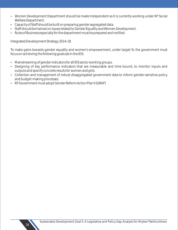- Women Development Department should be made Independent as it is currently working under KP Social Welfare Department.
- Capacity of Staff should be built on preparing gender segregated data.
- Staff should be trained on issues related to Gender Equality and Women Development.
- Rules of Business especially for the department must be prepared and notified.

Integrated Development Strategy 2014-18

To make gains towards gender equality and women's empowerment, under target 5c the government must focus on achieving the following goals set in the IDS:

- Mainstreaming of gender indicators for all IDS sector working groups.
- Designing of key performance indicators that are measurable and time bound, to monitor inputs and outputs and specify concrete results for women and girls.
- Collection and management of robust disaggregated government data to inform gender-sensitive policy and budget-making processes.
- KP Government must adopt Gender Reform Action Plan II (GRAP)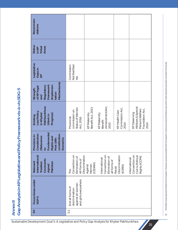| Recommen-<br>dations                                                                                                                 |                                                                                 |                                          |                                                                  |                                           |                                                                                |
|--------------------------------------------------------------------------------------------------------------------------------------|---------------------------------------------------------------------------------|------------------------------------------|------------------------------------------------------------------|-------------------------------------------|--------------------------------------------------------------------------------|
| Status<br>Areas<br>in KP<br>Tribal                                                                                                   |                                                                                 |                                          |                                                                  |                                           |                                                                                |
| Legislative<br>Gaps in<br>KP                                                                                                         | Commission<br>Not Notified<br>Yet                                               |                                          |                                                                  |                                           |                                                                                |
| Mechanisms)<br>(Implemen-<br>Framework<br>Regulatory<br>of KP legal<br>Strength<br>tation<br>and                                     |                                                                                 |                                          |                                                                  |                                           |                                                                                |
| Pakhtunkhwa<br>aw/Policy<br>in Khyber<br>Progress)<br>Work in<br>Existing                                                            | Status of Women<br>commission on<br>Provincial<br>Act, 2016                     | Benefit Act, 2013<br><b>KP Maternity</b> | (Amendment) Act<br><b>KP Maternity</b><br>Benefit<br>2015        | Commission Act,<br>KP Health Care<br>2014 | Widows & Special<br>Foundation Act,<br>Persons Welfare<br>KP Deserving<br>2014 |
| Fundamental<br>Constitution<br>constitution<br>Provision in<br>(Relevance<br>Rights and<br>Scenario).<br>Post 18th<br>$\overline{c}$ |                                                                                 |                                          |                                                                  |                                           |                                                                                |
| nternational<br>Covenants<br>Relevant<br>Pakistan<br>Treaties<br>signed                                                              | Convention on<br>Discrimination<br>Elimination of<br>All Forms of<br>Īhе        | (CEDAW)<br>Women<br>Against              | Convention on<br>Elimination of<br>International<br>all forms of | Discrimination<br>(ICERD)<br>Racial       | Convention on<br>Civil & Political<br>Rights (ICCPR)<br>International          |
| Focus Areas under<br>SGP-5                                                                                                           | and girls everywhere<br>against all women<br>End all forms of<br>discrimination |                                          |                                                                  |                                           |                                                                                |
| \$3                                                                                                                                  | 51                                                                              |                                          |                                                                  |                                           |                                                                                |

**Annex II Gap Analysis in KP Legislative and Policy Frame work vis-à-vis SDG-5**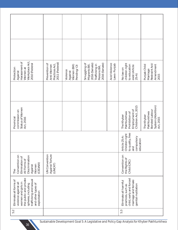| Workplace Act,<br>Harassment of<br>2010 (Federal<br>Women at<br>Protection<br>Against                                                                                                | 2011 (Federal)<br>Prevention of<br>Practices Act,<br>Anti-Women | Women (Bill)<br>Pending/CII<br>Violence<br>Against | Smuggling of<br>2016 (Senate)<br>2016 (Senate)<br>Migrants Bill,<br>Trafficking in<br>Persons Bill, | Acid Violence<br>Laws-Punjab | children right<br>to education<br>exist (Article<br>No law on<br>$25-A$                                             | Restraint Act/<br>Amendment<br>Punjab Child<br>Marriage<br>2015                      |
|--------------------------------------------------------------------------------------------------------------------------------------------------------------------------------------|-----------------------------------------------------------------|----------------------------------------------------|-----------------------------------------------------------------------------------------------------|------------------------------|---------------------------------------------------------------------------------------------------------------------|--------------------------------------------------------------------------------------|
|                                                                                                                                                                                      |                                                                 |                                                    |                                                                                                     |                              |                                                                                                                     |                                                                                      |
| Status of Women<br>commission on<br>Act, 2016<br>Provincial                                                                                                                          |                                                                 |                                                    |                                                                                                     |                              | Children Act, 2015<br>Employment of<br>Prohibition of<br>Pakhtunkhwa<br>The Khyber                                  | System (Abolition)<br><b>Bonded Labour</b><br>Pakhtunkhwa<br>The Khyber<br>Act, 2015 |
|                                                                                                                                                                                      |                                                                 |                                                    |                                                                                                     |                              | to quality, free<br>Children right<br>Article 25-A:<br>compulsory<br>education<br>and                               |                                                                                      |
| Convention on<br>Discrimination<br>Elimination of<br>All Forms of<br>(CEDAW)<br>Women<br>Against<br>The                                                                              | <b>UN</b> Convention<br>Against Torture<br>(UNCAT)              |                                                    |                                                                                                     |                              | Convention on<br>the Rights of<br>Child (CRC)                                                                       |                                                                                      |
| the public and private<br>trafficking and sexual<br>Eliminate all forms of<br>violence against all<br>women and girls in<br>and other types of<br>spheres, including<br>exploitation |                                                                 |                                                    |                                                                                                     |                              | child, early and forced<br>marriage and female<br>Eliminate all harmful<br>genital mutilation<br>practices, such as |                                                                                      |
| 5.2                                                                                                                                                                                  |                                                                 |                                                    |                                                                                                     |                              | 5.3                                                                                                                 |                                                                                      |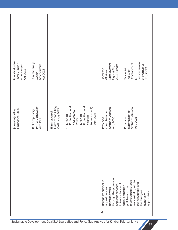| Punjab Muslim<br>Family Laws /<br>Amendment<br>Act 2015 | Punjab Family<br>Amendment<br>Act 2015<br>Court/       |                                                      |                                                                                                                                             | (Employment<br>Rights) Bill,<br>  2015 (Senate)<br>Domestic<br>Workers                                                                                    | Empowerment<br>Development<br>of Women of<br>KP (Sindh)<br>Provincial<br>Policy of<br>$\infty$ |  |
|---------------------------------------------------------|--------------------------------------------------------|------------------------------------------------------|---------------------------------------------------------------------------------------------------------------------------------------------|-----------------------------------------------------------------------------------------------------------------------------------------------------------|------------------------------------------------------------------------------------------------|--|
|                                                         |                                                        |                                                      |                                                                                                                                             |                                                                                                                                                           |                                                                                                |  |
| Ordinance, 2000<br>Juvenile Justice                     | Primary Education<br><b>KP Compulsory</b><br>Act, 1996 | Custom and Ghag<br>Ordinance, 2012<br>Elimination of | Protection and<br>Protection and<br>(Amendment)<br>Welfare Act,<br>Act, 2016<br>KP Child<br><b>KP Child</b><br>Welfare<br>2010<br>$\bullet$ | Status of Women<br>commission on<br>Provincial<br>Act, 2016                                                                                               | Status of Women<br>commission on<br>Provincial<br>Act, 2016                                    |  |
|                                                         |                                                        |                                                      |                                                                                                                                             |                                                                                                                                                           |                                                                                                |  |
|                                                         |                                                        |                                                      |                                                                                                                                             |                                                                                                                                                           |                                                                                                |  |
|                                                         |                                                        |                                                      | through the provision<br>Recognize and value<br>infrastructure and<br>of public services,<br>unpaid care and<br>domestic work               | promotion of shared<br>responsibility within<br>the household and<br>social protection<br>policies and the<br>the family as<br>appropriate.<br>nationally |                                                                                                |  |
|                                                         |                                                        |                                                      |                                                                                                                                             | 5.4                                                                                                                                                       |                                                                                                |  |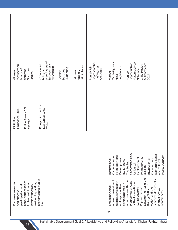| Members on<br>Boards of<br>Statutory<br>different<br>Women<br><b>Bodies</b>                                                                                                            | ensuring equal<br>Employment<br><b>KP Provincial</b><br>for Women<br>Policy on | <b>Budgeting</b><br>Sensitive<br>Gender                                                                                                                                                                                                                             | Workplaces.<br>Friendly<br>Women | Representatio<br>n of Women<br>Punjab Fair<br>Act, 2014 | Maternal, Neo-<br>Mortality/Neo<br>Reproductive,<br>Authority Act<br>Child Health<br>Legislation<br>Natal and<br>Mother<br>Punjab<br>Natal<br>2014                                                                                                                                                                                          |
|----------------------------------------------------------------------------------------------------------------------------------------------------------------------------------------|--------------------------------------------------------------------------------|---------------------------------------------------------------------------------------------------------------------------------------------------------------------------------------------------------------------------------------------------------------------|----------------------------------|---------------------------------------------------------|---------------------------------------------------------------------------------------------------------------------------------------------------------------------------------------------------------------------------------------------------------------------------------------------------------------------------------------------|
|                                                                                                                                                                                        |                                                                                |                                                                                                                                                                                                                                                                     |                                  |                                                         |                                                                                                                                                                                                                                                                                                                                             |
| Police Rules - 1%<br>Ordinance, 2016<br><b>KP Police</b><br>Women                                                                                                                      | <b>KP Appointment of</b><br>Law Officers Act,<br>2014                          |                                                                                                                                                                                                                                                                     |                                  |                                                         |                                                                                                                                                                                                                                                                                                                                             |
|                                                                                                                                                                                        |                                                                                |                                                                                                                                                                                                                                                                     |                                  |                                                         |                                                                                                                                                                                                                                                                                                                                             |
|                                                                                                                                                                                        |                                                                                | 1995<br>Economic, Social<br>Rights (ICESCR)<br>Population and<br>Conference on<br>Declaration of<br>Human Rights<br>Development<br>nternational<br>International<br>Covenant on<br>and Cultural<br>Conference<br>(ICPD) 1994,<br>The Beijing<br>Universal<br>(UDHR) |                                  |                                                         |                                                                                                                                                                                                                                                                                                                                             |
| economic and public<br>Ensure women's full<br>equal opportunities<br>for leadership at all<br>making in political<br>levels of decision-<br>participation and<br>and effective<br>life |                                                                                |                                                                                                                                                                                                                                                                     |                                  |                                                         | Development and the<br>Programme of Action<br>outcome documents<br>accordance with the<br>access to sexual and<br>reproductive health<br>Beijing Platform for<br>of the International<br>rights as agreed in<br>and reproductive<br>Ensure universal<br>Population and<br>Action and the<br>Conference on<br>of their review<br>conferences |
| 5.5                                                                                                                                                                                    |                                                                                |                                                                                                                                                                                                                                                                     |                                  |                                                         | $\circ$                                                                                                                                                                                                                                                                                                                                     |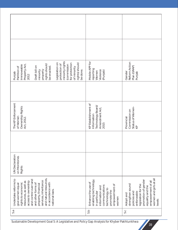| minority rights<br>Legislation on<br>for protection<br>rights) should<br>protection of<br>(commission<br>Property Act,<br>rights should<br>Immoveable<br>Draft bill on<br>be enacted.<br>Partition of<br>of minority<br>property<br>be done.<br>minority<br>Punjab<br>2012      | Mobile APP for<br>reporting<br>Violence<br>(Punjab)<br>Women                                                                                                 | Reform Action<br>Plan (GRAP)<br>Gender<br>Punjab                                                                                                                                         |
|---------------------------------------------------------------------------------------------------------------------------------------------------------------------------------------------------------------------------------------------------------------------------------|--------------------------------------------------------------------------------------------------------------------------------------------------------------|------------------------------------------------------------------------------------------------------------------------------------------------------------------------------------------|
|                                                                                                                                                                                                                                                                                 |                                                                                                                                                              |                                                                                                                                                                                          |
| The KP Enforcement<br>Ownership Rights<br>of Women<br>Act, 2012.                                                                                                                                                                                                                | KP Establishment of<br>Technology Board/<br>Amendment Act,<br>Information<br>2015                                                                            | Status of Women-<br>KP<br>Commission on<br>Provincial                                                                                                                                    |
|                                                                                                                                                                                                                                                                                 |                                                                                                                                                              |                                                                                                                                                                                          |
| <b>UN</b> Declaration<br>on Monitories<br>Rights                                                                                                                                                                                                                                |                                                                                                                                                              |                                                                                                                                                                                          |
| and natural resources,<br>Undertake reforms to<br>and control over land<br>services, inheritance<br>access to ownership<br>resources, as well as<br>in accordance with<br>rights to economic<br>and other forms of<br>give women equal<br>property, financial<br>national laws. | enabling technology,<br>Enhance the use of<br>empowerment of<br>communications<br>information and<br>technology, to<br>promote the<br>in particular<br>women | women and girls at all<br>promotion of gender<br>empowerment of all<br>strengthen sound<br>legislation for the<br>equality and the<br>enforceable<br>policies and<br>Adopt and<br>levels |
| 5.а                                                                                                                                                                                                                                                                             | 5.b                                                                                                                                                          | 5.C                                                                                                                                                                                      |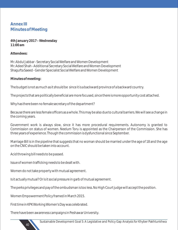# **Annex III Minutes of Meeting**

**4th January 2017 – Wednesday 11:00 am** 

**Attendees:**

Mr. Abdul Jabbar - Secretary Social Welfare and Women Development Mr. Adeel Shah - Additional Secretary Social Welfare and Women Development Shagufta Saeed - Gender Specialist Social Welfare and Women Development

**Minutes of meeting:**

The budget is not as much as it should be since it is a backward province of a backward country.

The projects that are politically beneficial are more focused, since there is more opportunity cost attached.

Why has there been no female secretary of the department?

Because there are less female officers as a whole. This may be also due to cultural barriers. We will see a change in the coming years.

Government work is always slow, since it has more procedural requirements. Autonomy is granted to Commission on status of women. Neelum Toru is appointed as the Chairperson of the Commission. She has three years of experience. Though the commission is dysfunctional since September.

Marriage Bill is in the pipeline that suggests that no woman should be married under the age of 18 and the age on the CNIC should be taken into account.

Acid throwing bill needs to be passed.

Issue of women trafficking needs to be dealt with.

Women do not take property with mutual agreement.

Is it actually mutual? Or is it social pressure in garb of mutual agreement.

The perks privileges and pay of the ombudsman is too less. No High Court judge will accept the position.

Women Empowerment Policy framed in March 2015.

First time in KPK Working Women's Day was celebrated.

There have been awareness campaigns in Peshawar University.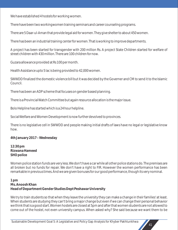We have established 4 hostels for working women.

There have been two workingwomen training seminars and career counseling programs.

There are 5 Daar-ul-Aman that provide legal aid for women. They give shelter to about 450 women.

There has been an industrial training center for women. That is working to improve departments.

A project has been started for transgender with 200 million Rs. A project State Children started for welfare of street children with 430 million. There are 100 children for now.

Guzara allowance provided at Rs 100 per month.

Health Assistance upto 5 lac is being provided to 42,000 women.

SWWDD finalized the domestic violence bill but it was decided by the Governer and CM to send it to the Islamic Council.

There has been an ADP scheme that focuses on gender based planning.

There is a Provincial Watch Committee but again resource allocation is the major issue.

Bolo Helpline has started which is a 24 hour helpline.

Social Welfare and Women Development is now further devolved to provinces.

There is no legislative cell in SWWDD and people making initial drafts of laws have no legal or legislative know how.

**4th January 2017 – Wednesday** 

**12:30 pm Rizwana Hameed SHO police** 

Women police station funds are very less. We don't have a car while all other police stations do. The premises are all broken but no funds for repair. We don't have a right to FIR. However the women performance has been remarkable in previous times. And we are given bonuses for our good performance, though its very nominal.

**1 pm Ms. Anoosh Khan Head of Department Gender Studies Dept Peshawar University** 

We try to train students so that when they leave the university they can make a change in their families' at least. When students are studying they can't bring a major change but even if we can change their personal behavior we think that is a good start. Women hostels are closed at 5pm and after that women students are not allowed to come out of the hostel, not even university campus. When asked why? She said because we want them to be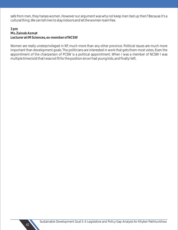safe from men, they harass women. However our argument was why not keep men tied up then? Because it's a cultural thing. We can tell men to stay indoors and let the women roam free.

**3 pm Ms. Zainab Azmat Lecturer at IM Sciences, ex-member of NCSW**

Women are really underprivileged in KP, much more than any other province. Political issues are much more important than development goals. The politicians are interested in work that gets them most votes. Even the appointment of the chairperson of PCSW is a political appointment. When I was a member of NCSW I was multiple times told that I was not fit for the position since I had young kids, and finally I left.

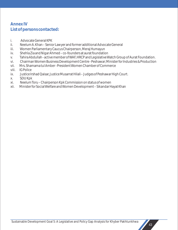# **Annex IV List of persons contacted:**

- i. Advocate General KPK
- ii. Neelum A. Khan Senior Lawyer and former additional Advocate General
- iii. Women Parliamentary Caucus Chairperson, Meraj Humayun
- iv. Shehla Zia and Nigar Ahmed co-founders at aurat foundation
- v. Tahira Abdullah active member of WAF, HRCP and Legislative Watch Group of Aurat Foundation.
- vi. Chairman Women Business Development Centre Peshawar; Minister for Industries & Production
- vii. Mrs. Shamama tul Amber President Women Chamber of Commerce
- viii. IG Police
- ix. Justice Irshad Qaisar, Justice Musarrat Hilali Judges of Peshawar High Court.
- x. SDU Kpk
- xi. Neelum Toru Chairperson Kpk Commission on status of women
- xii. Minister for Social Welfare and Women Development Sikandar Hayat Khan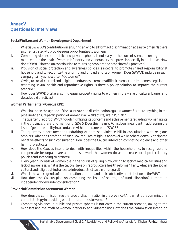# **Annex V Questions for Interviews**

**Social Welfare and Women Development Department:** 

- i. What is SWWDD's contribution in ensuring an end to all forms of discrimination against women? Is there a current strategy to provide equal opportunities to women?
- ii. Combating violence in public and private spheres is not easy in the current scenario, owing to the mindsets and the myth of women inferiority and vulnerability that prevails specially in rural areas. How does SWWDD intend on contributing to this rising problem and other harmful practices?
- iii. Provision of social protection and awareness policies is integral to promote shared responsibility at household and to recognize the untiring and unpaid efforts of women. Does SWWDD indulge in such campaigns? If yes, how often? Outcomes?
- iv. Owing to social, cultural and religious hindrances, it remains difficult to enact and implement legislation regarding sexual health and reproductive rights. Is there a policy solution to improve the current scenario?
- v. How does SWWDD take ensuring equal property rights to women in the wake of cultural barrier and decades old practices?

**Women Parliamentary Caucus KPK:**

- i. What has been the agenda of the caucus to end discrimination against women? Is there anything in the pipeline to ensure participation of women in all walks of life, like in Punjab?
- ii. The quarterly report of WPC though highlights its concerns and achievements regarding women rights in the province; there is no mention of SDG 5. Does this mean WPC has been negligent in addressing the issue of gender equality in accordance with the parameters of SDG 5?
- iii. The quarterly report mentions redrafting of domestic violence bill in consultation with religious scholars; why does drafting of such law requires religious approval while others don't? Anticipated negative effects of such consultation. How does the Caucus intend on combating violence and other harmful practices?
- iv. How does the Caucus intend to deal with inequalities within the household i.e. to recognize and compensate for unpaid care and domestic work that women do and increase social protection by policies and spreading awareness?
- v. Every year hundreds of women die in the course of giving birth, owing to lack of medical facilities and lack of awareness. What is the caucus' take on reproductive health reforms? If any, what are the social, cultural and religious hindrances to introduce strict laws in this regard?
- vi. What is the work agenda of the international interns and their substantive contribution to the WPC?
- vii. How does the Caucus plan on combating the issue of shortage of fund allocation? Is there an independent body under consideration?

**Provincial Commission on status of Women:**

- i. How does the commission see the issue of discrimination in the province? And what is the commission's current strategy in providing equal opportunities to women?
- ii. Combating violence in public and private spheres is not easy in the current scenario, owing to the mindsets and the myth of women inferiority and vulnerability. How does the commission intend on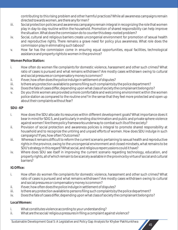contributing to this rising problem and other harmful practices? While all awareness campaigns remain directed towards women, are there any for men?

- iii. Social protection policies and awareness campaigns remain integral in recognizing the role that women play in day-to-day routine within the household. Promotion of shared responsibility can help improve the situation. What does the commission do to counter this deep-rooted problem?
- iv. Social, cultural and religious barriers create uncongenial environment for promotion of sexual health and reproductive rights. There remains a grave need for policy plus awareness. What role does the commission play in eliminating such taboos?
- v. How far has the commission come in ensuring equal opportunities, equal facilities, technological assistance and property rights to women in the province?

# **Women Police Station:**

- i. How often do women file complaints for domestic violence, harassment and other such crimes? What ratio of cases is pursued and what remains withdrawn? Are mostly cases withdrawn owing to cultural and social pressures or compensatory money is common?
- ii. If ever, how often does the police indulge in settlement of disputes?
- iii. Is there any protection available to persons filing such complaints by the police department?
- iv. Does the fate of cases differ, depending upon what class of society the complainant belongs to?
- v. Do you think women are provided a more comfortable and welcoming environment within the women police station as compared to the routine one? In the sense that they feel more protected and open up about their complaints without fear?

# **SDU - KP**

- i. How does the SDU allocate its resources within different development goals? What importance does it bear in mind for SDG 5, and particularly in ending discrimination and public and private sphere violence against women? Are there policy frameworks underway to combat such ills of the society?
- ii. Provision of social protection and awareness policies is integral to promote shared responsibility at household and to recognize the untiring and unpaid efforts of women. How does SDU indulge in such campaigns? If yes, how often? Outcomes?
- iii. Whereas it remains difficult to reform the current scenario pertaining to sexual health and reproductive rights in the province, owing to the uncongenial environment and closed mindsets, what remains to be SDU's strategy in this regard? What social, and religious repercussions could it have?
- iv. Where does SDU see itself in improving the current scenario regarding technology, education, and property rights, all of which remain to be scarcely available in the province by virtue of social and cultural barriers?

# **IG Office:**

- i. How often do women file complaints for domestic violence, harassment and other such crimes? What ratio of cases is pursued and what remains withdrawn? Are mostly cases withdrawn owing to cultural and social pressures or compensatory money is common?
- ii. If ever, how often does the police indulge in settlement of disputes?
- iii. Is there any protection available to persons filing such complaints by the police department?
- iv. Does the fate of cases differ, depending upon what class of society the complainant belongs to?

# **Local Women:**

- i. What constitutes violence according to your understanding?
- ii. What are the social/ religious pressures in filing a complaint against violence?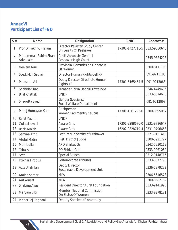# **Annex VI Participant List of FGD**

| S#             | Name                            | Designation                                              | <b>CNIC</b>     | Contact#     |
|----------------|---------------------------------|----------------------------------------------------------|-----------------|--------------|
| 1              | Prof Dr Fakhr-ul- Islam         | Director Pakistan Study Center<br>University Of Peshawer | 17301-1427716-5 | 0332-9080645 |
| $\overline{2}$ | Mohammad Rahim Shah<br>Advocate | <b>Assitt Advocate General</b><br>Peshawer High Court    |                 | 0345-9524225 |
| 3              | Neelam Toru                     | Provincial Commission On Status<br>Of Women              |                 | 0300-8111198 |
| 4              | Syed. M. F Saqlain              | Director Human Rights Cell KP                            |                 | 091-9211180  |
| 5              | Maqsood Ali                     | Depty Director Directrate Human<br><b>Rights KP</b>      | 17301-6165454-5 | 091-9213068  |
| 6              | Shahida Shah                    | Manager Takra Qabaili Khwainde                           |                 | 0344-4449615 |
| 7              | <b>Bilal Khattak</b>            | <b>UNDP</b>                                              |                 | 0333-5374610 |
| 8              | Shagufta Syed                   | <b>Gender Specialist</b><br>Social Welfare Department    |                 | 091-9213093  |
| 9              | Meraj Humayun Khan              | Chairperson<br>women Parlimentry Caucus                  | 17301-1367292-6 | 0300-8595054 |
| 10             | Rafat Yasmin                    | <b>UNDP</b>                                              |                 |              |
| 11             | Gulalai Ismail                  | <b>Aware Girls</b>                                       | 17301-9288676-0 | 0331-9796647 |
| 12             | Razia Malak                     | <b>Aware Girls</b>                                       | 16202-0828719-4 | 0331-9796653 |
| 13             | Samina Afridi                   | Lecturer University of Peshawer                          |                 | 0321-9151418 |
| 14             | <b>Abdul Matin</b>              | (Ret) District Judge                                     |                 | 0300-5921727 |
| 15             | Mohibullah                      | <b>APO Shirkat Gah</b>                                   |                 | 0342-5330119 |
| 16             | Tabassum                        | PO Shirkat Gah                                           |                 | 0333-9261032 |
| 17             | Stat                            | Special Branch                                           |                 | 0312-9148715 |
| 18             | <b>Iftikhar Firdous</b>         | Editor(expree Tribune)                                   |                 | 0333-3377793 |
|                | 19   Aziz Ullah Jan             | Depty Director<br>Sustainable Development Unit           |                 | 0336-7979232 |
| 20             | Amina Sardar                    | <b>MPA</b>                                               |                 | 0306-5616578 |
| 21             | <b>Arif Yousaf</b>              | <b>MPA</b>                                               |                 | 0300-8582182 |
| 22             | Shabina Ayaz                    | <b>Resident Director Aurat Foundation</b>                |                 | 0333-9141995 |
| 23             | Maryam Bibi                     | <b>Member National Commission</b><br>On Status Of Women  |                 | 0333-9278181 |
| 24             | Meher Taj Roghani               | Deputy Speaker KP Assembly                               |                 |              |